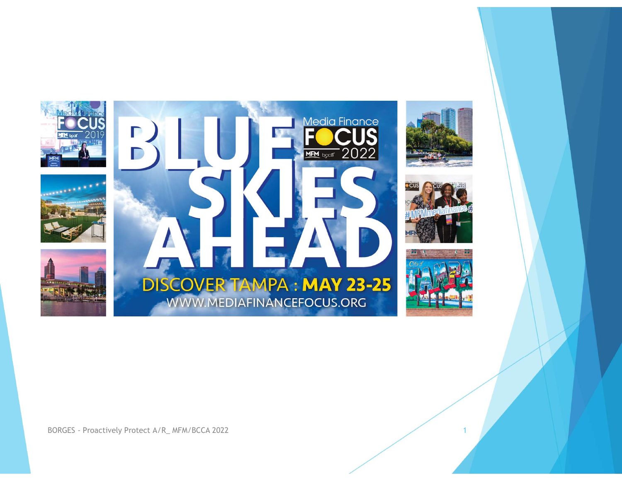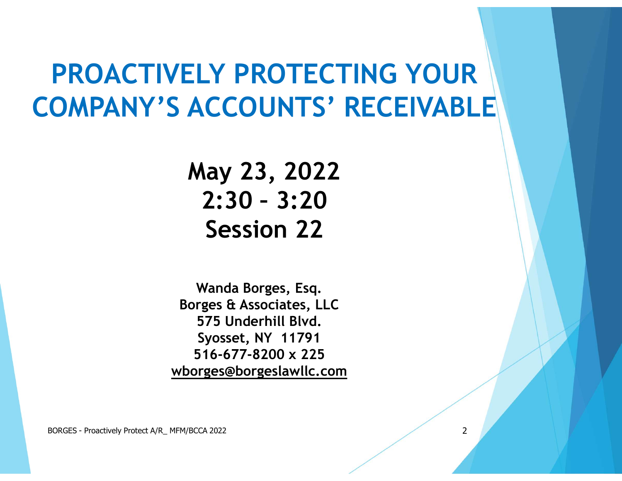## PROACTIVELY PROTECTING YOUR COMPANY'S ACCOUNTS' RECEIVABLE LY PROTECTING YOUR<br>CCOUNTS' RECEIVABLE<br>lay 23, 2022<br>2:30 - 3:20<br>Session 22

May 23, 2022 Session 22

Wanda Borges, Esq. Borges & Associates, LLC 575 Underhill Blvd. Syosset, NY 11791 516-677-8200 x 225 wborges@borgeslawllc.com **Session 22**<br>
Wanda Borges, Esq.<br>
Borges & Associates, LLC<br>
575 Underhill Blvd.<br>
Syosset, NY 11791<br>
S416-677-8200 x 225<br>
wborges@borgeslawllc.com<br>
BORGES - Proactively Protect A/R\_MFM/BCCA 2022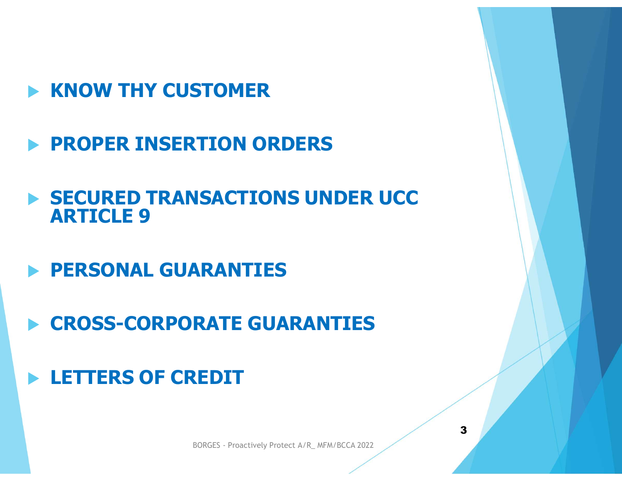- $\blacktriangleright$  KNOW THY CUSTOMER
- PROPER INSERTION ORDERS
- **SECURED TRANSACTIONS UNDER UCC** ARTICLE 9
- **PERSONAL GUARANTIES**
- CROSS-CORPORATE GUARANTIES **RATE GUARANTIES<br>REDIT**<br>BORGES - Proactively Protect A/R\_MFM/BCCA 2022
- **LETTERS OF CREDIT**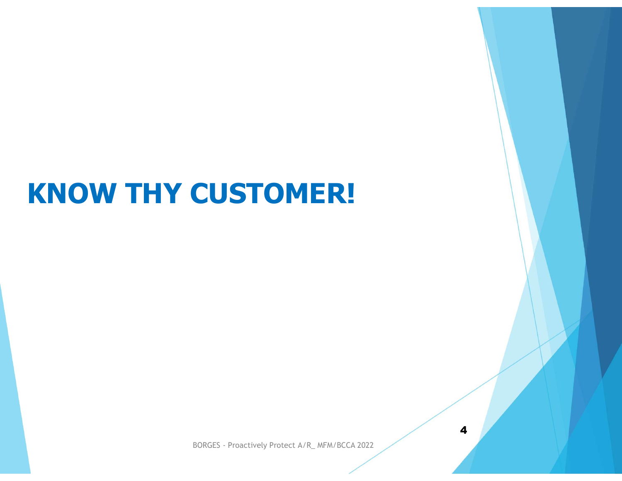#### KNOW THY CUSTOMER!

BORGES - Proactively Protect A/R\_ MFM/BCCA 2022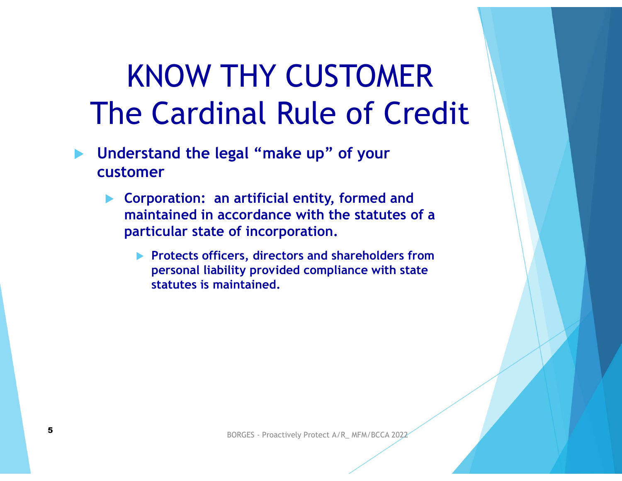#### KNOW THY CUSTOMER The Cardinal Rule of Credit

- **Inderstand the legal "make up" of your** customer
	- Corporation: an artificial entity, formed and maintained in accordance with the statutes of a particular state of incorporation.
- particular state or incorporation.<br>
Protects officers, directors and shareholders from<br>
personal liability provided compliance with state<br>
statutes is maintained.<br>
BORGES Proactively Protect A/R\_ MFM/BCCA 2022 **Protects officers, directors and shareholders from** personal liability provided compliance with state statutes is maintained.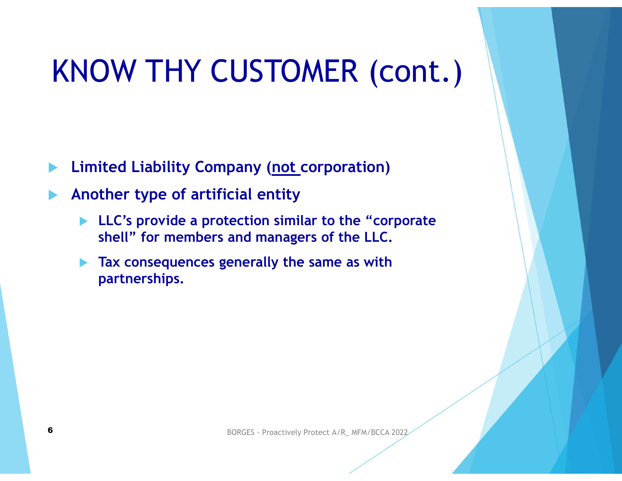# KNOW THY CUSTOMER (cont.) NOW THY CUSTOMER (CONT.)<br>
imited Liability Company (<u>not c</u>orporation)<br>
nother type of artificial entity<br>
LLC's provide a protection similar to the "corporate<br>
shell" for members and managers of the LLC.<br>
Tax consequences

- Limited Liability Company (not corporation)
- Another type of artificial entity
	- shell" for members and managers of the LLC.
	- and managers of the LLC.<br>
	enerally the same as with<br>
	BORGES Proactively Protect A/R\_ MFM/BCCA 2022 Tax consequences generally the same as with partnerships.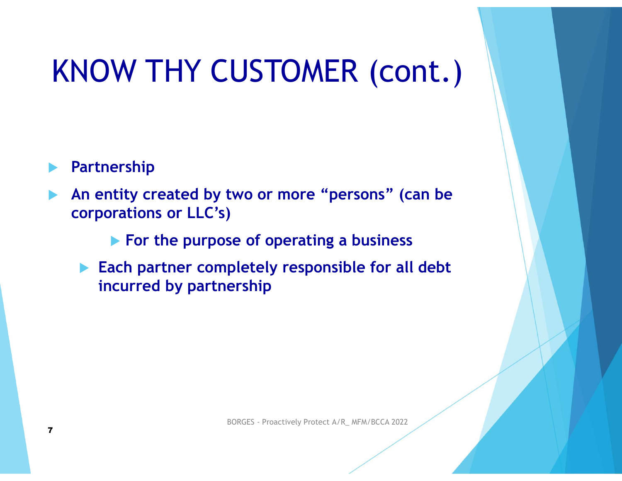#### KNOW THY CUSTOMER (cont.)

#### Partnership

 An entity created by two or more "persons" (can be corporations or LLC's)

 $\blacktriangleright$  For the purpose of operating a business

Se of operating a business<br>pletely responsible for all debt<br>ership<br>BORGES - Proactively Protect A/R\_ MFM/BCCA 2022 **Each partner completely responsible for all debt** incurred by partnership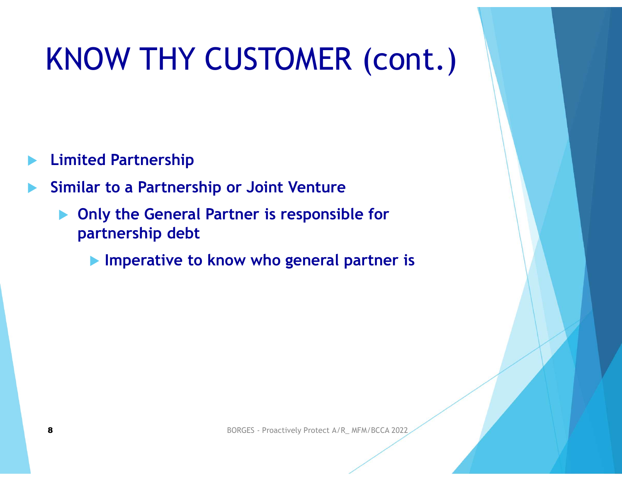# KNOW THY CUSTOMER (cont.) KNOW THY CUSTOMER (cont.)<br>
Similar to a Partnership<br>
Similar to a Partnership or Joint Venture<br>
Only the General Partner is responsible for<br>
partnership debt

- Limited Partnership
- - ▶ Only the General Partner is responsible for partnership debt
		- BORGES Proactively Protect A/R\_ MFM/BCCA 2022 **Imperative to know who general partner is**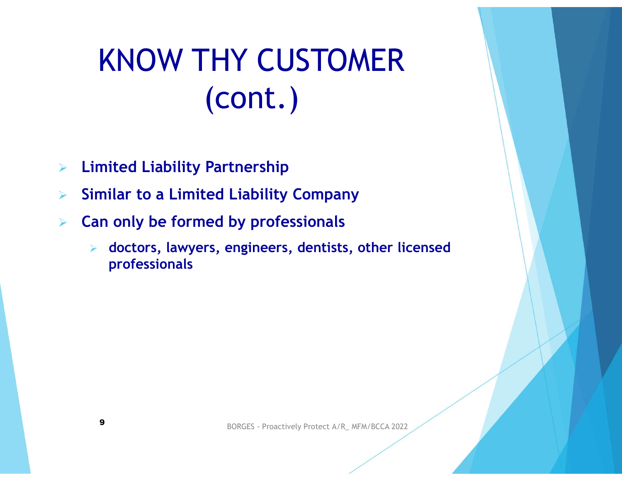## KNOW THY CUSTOMER (cont.)  $\begin{array}{lll} \textsf{KNOW THY CUSTOMER} \\ \textsf{(cont.)} \\\\ \textsf{E} & \textsf{Limited Liability Partership} \\ \textsf{Similar to a Limited Liability Company} \\ \textsf{Can only be formed by professionals} \\ \textsf{S} & \textsf{dactors, leaves, engineers, dentists, other licensed.} \end{array}$

- $\triangleright$  Limited Liability Partnership
- 
- $\triangleright$  Can only be formed by professionals
	- BORGES Proactively Protect A/R\_ MFM/BCCA 2022 doctors, lawyers, engineers, dentists, other licensed professionals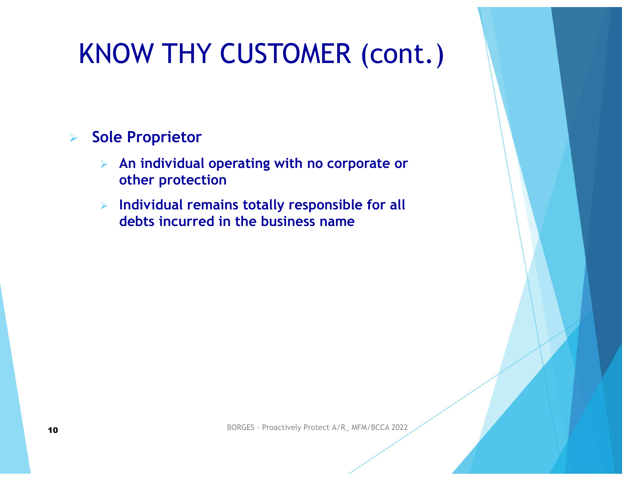#### KNOW THY CUSTOMER (cont.)

#### **Sole Proprietor**

- $\triangleright$  An individual operating with no corporate or other protection
- $\triangleright$  Individual remains totally responsible for all debts incurred in the business name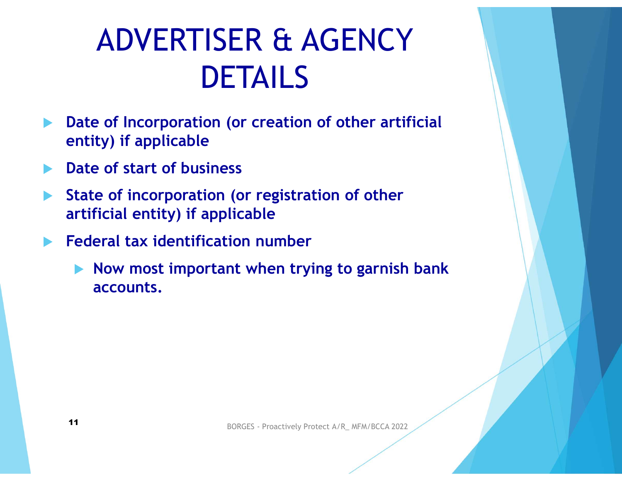#### ADVERTISER & AGENCY DETAILS

- **Date of Incorporation (or creation of other artificial** entity) if applicable
- Date of start of business
- State of incorporation (or registration of other artificial entity) if applicable
- Federal tax identification number
- BORGES Proactively Protect A/R\_ MFM/BCCA 2022  $\blacktriangleright$  Now most important when trying to garnish bank accounts.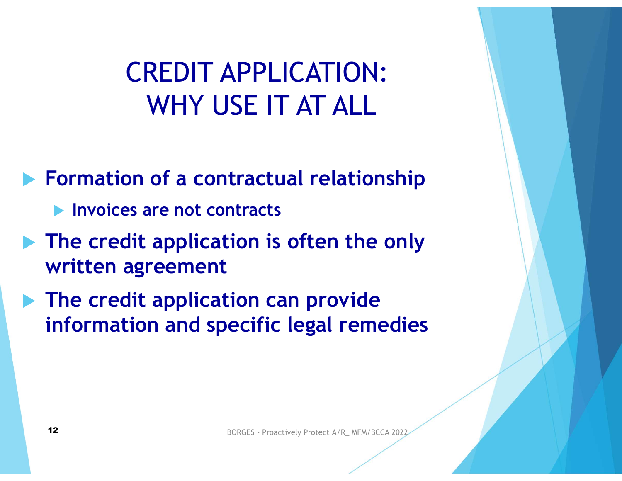#### CREDIT APPLICATION: WHY USE IT AT ALL

**Formation of a contractual relationship** 

- **Invoices are not contracts**
- **The credit application is often the only** written agreement
- $\blacktriangleright$  The credit application can provide information and specific legal remedies The credit application is often the only<br>
written agreement<br>
The credit application can provide<br>
information and specific legal remedies<br>
12<br>
12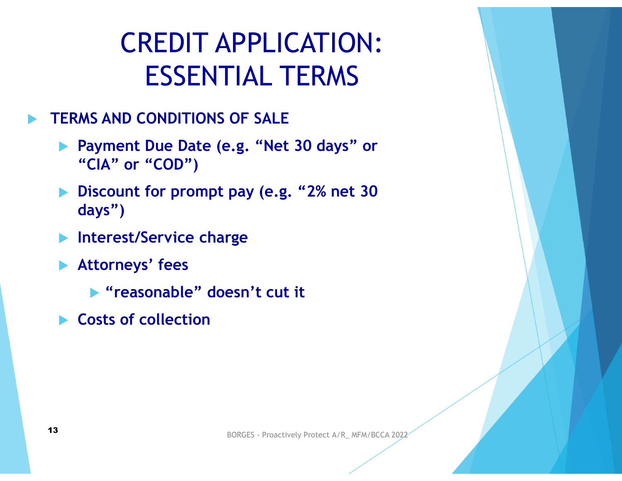### CREDIT APPLICATION: ESSENTIAL TERMS CREDIT APPLICATION:<br>ESSENTIAL TERMS<br>FRAMS AND CONDITIONS OF SALE<br>Payment Due Date (e.g. "Net 30 days" or<br>"CIA" or "COD")<br>Discount for prompt pay (e.g. "2% net 30 CREDIT APPLICATION:<br>
ESSENTIAL TERMS<br>
ERMS AND CONDITIONS OF SALE<br>
Payment Due Date (e.g. "Net 30 days" or<br>
"CIA" or "COD")<br>
Discount for prompt pay (e.g. "2% net 30<br>
days")<br>
Interest/Service charge

#### TERMS AND CONDITIONS OF SALE

- "CIA" or "COD")
- days")
- **Interest/Service charge**
- Attorneys' fees
- ▶ "reasonable" doesn't cut it BORGES - Proactively Protect A/R\_ MFM/BCCA 2022<br> **BORGES - Proactively Protect A/R\_ MFM/BCCA 2022**<br> **BORGES - Proactively Protect A/R\_ MFM/BCCA 2022** 
	- ▶ Costs of collection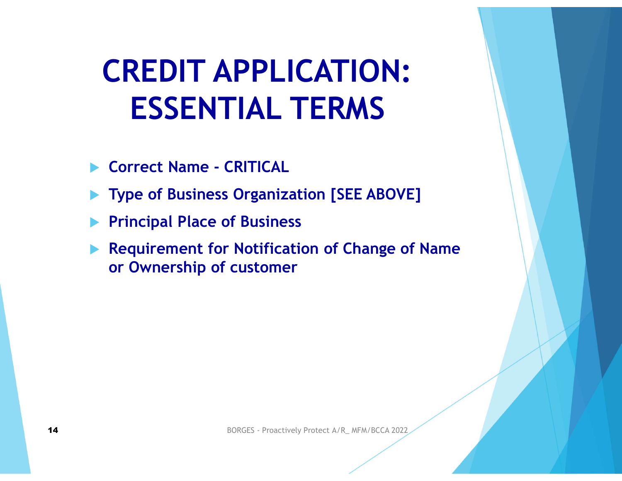## CREDIT APPLICATION: ESSENTIAL TERMS **CREDIT APPLICATION:**<br>ESSENTIAL TERMS<br>
Correct Name - CRITICAL<br>
Type of Business Organization [SEE ABOVE]

- 
- Type of Business Organization [SEE ABOVE]
- Principal Place of Business
- Requirement for Notification of Change of Name or Ownership of customer Requirement for Notification of Change of Name<br>or Ownership of customer<br>14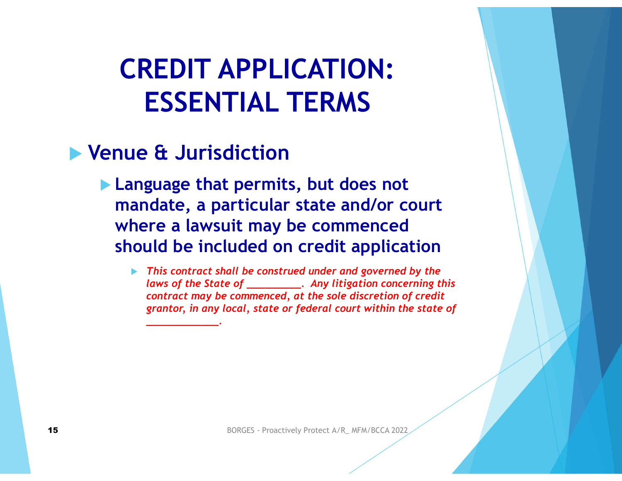#### CREDIT APPLICATION: ESSENTIAL TERMS

#### Venue & Jurisdiction

- **Language that permits, but does not** mandate, a particular state and/or court where a lawsuit may be commenced should be included on credit application
- ▶ This contract shall be construed under and governed by the laws of the State of \_\_\_\_\_\_\_\_\_\_. Any litigation concerning this contract may be commenced, at the sole discretion of credit grantor, in any local, state or federal court within the state of WHELE **a lawsuit lingy be Commerced**<br>
Should be included on credit application<br>  $\triangleright$  This contract shall be construed under and governed by the<br>
laws of the State of  $\frac{1}{1}$ . Any litigation concerning this<br>
grantor, i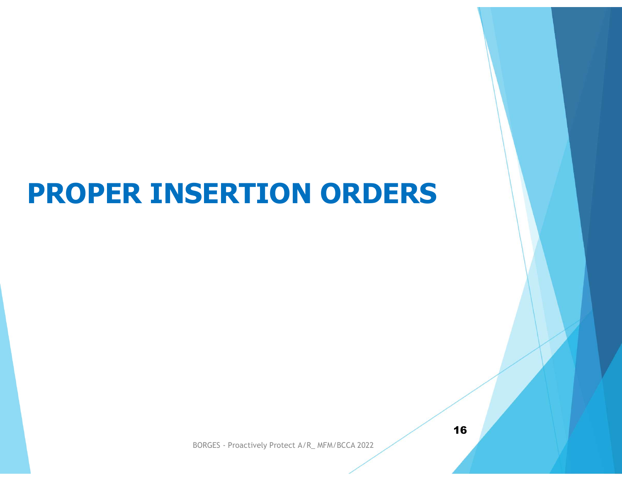# PROPER INSERTION ORDERS

BORGES - Proactively Protect A/R\_ MFM/BCCA 2022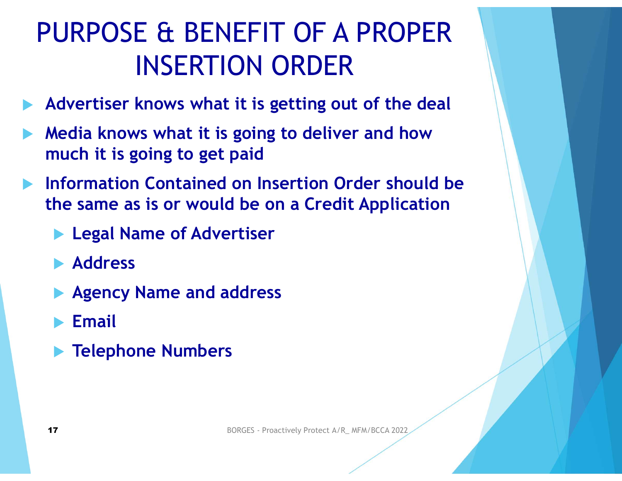## PURPOSE & BENEFIT OF A PROPER E & BENEFIT OF A PROPER<br>INSERTION ORDER<br>knows what it is getting out of the deal PURPOSE & BENEFIT OF A PROPER<br>
INSERTION ORDER<br>
★ Advertiser knows what it is getting out of the deal<br>
★ Media knows what it is going to deliver and how<br>
much it is going to get paid<br>
★ Information Contained on Insertion PURPOSE & BENEFIT OF A PROPER<br>
INSERTION ORDER<br>
Advertiser knows what it is getting out of the deal<br>
Media knows what it is going to deliver and how<br>
much it is going to get paid<br>
Information Contained on Insertion Order

- Advertiser knows what it is getting out of the deal
- Media knows what it is going to deliver and how much it is going to get paid
- - **Legal Name of Advertiser**
	- **Address**
	- **Agency Name and address** 17 BORGES - Proactively Protect A/R\_ MFM/BCCA 2022<br>
	17 BORGES - Proactively Protect A/R\_ MFM/BCCA 2022
	- Email
	- **Telephone Numbers**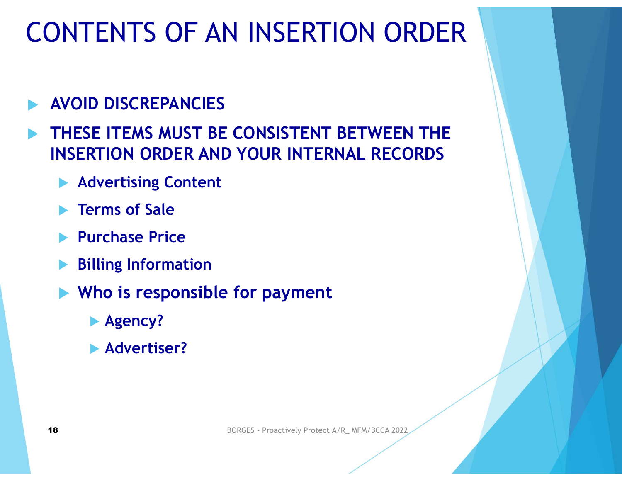#### CONTENTS OF AN INSERTION ORDER

- CONTENTS OF AN INSERTION<br>
AVOID DISCREPANCIES<br>
ATHESE ITEMS MUST BE CONSISTENT BET CONTENTS OF AN INSERTION ORDER<br>
► AVOID DISCREPANCIES<br>
► THESE ITEMS MUST BE CONSISTENT BETWEEN THE<br>
INSERTION ORDER AND YOUR INTERNAL RECORDS<br>
► Advertising Content INSERTION ORDER AND YOUR INTERNAL RECORDS
	- **Advertising Content**
	- Terms of Sale
	- **Purchase Price**
	- Billing Information
	- **No is responsible for payment** 18 **Durchase Price**<br>
	18 **Durchase Price**<br>
	18 **Advertiser?**<br>
	18 **BORGES - Proactively Protect A/R\_MFM/BCCA 2022** 
		- **Agency?**
		- **Advertiser?**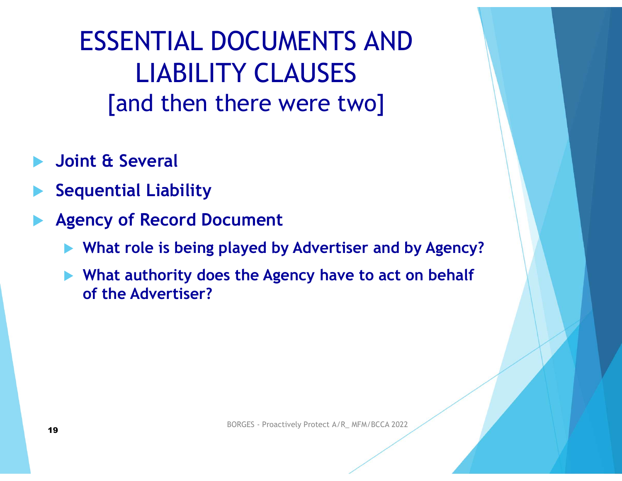ESSENTIAL DOCUMENTS AND LIABILITY CLAUSES [and then there were two] ESSENTIAL DOCUMENTS AND<br>
LIABILITY CLAUSES<br>
[and then there were two]<br>
boint & Several<br>
equential Liability<br>
Agency of Record Document<br>
What role is being played by Advertiser and by Agen<br>
a What authority does the Agency LIABILITY CLAUSES<br>
[and then there were two]<br>
oint & Several<br>
equential Liability<br>
gency of Record Document<br>
What role is being played by Advertiser and by Agency?<br>
What authority does the Agency have to act on behalf<br>
of

- Joint & Several
- Sequential Liability
- -
- LIADILITT CLAUSES<br>
[and then there were two]<br>
oint & Several<br>
equential Liability<br>
gency of Record Document<br>
What role is being played by Advertiser and by Agency?<br>
What authority does the Agency have to act on behalf<br>
of [and then there were two]<br>Int & Several<br>Internal Liability<br>Incy of Record Document<br>What role is being played by Advertiser ar<br>What authority does the Agency have to a<br>Internal Advertiser? ■ What role is being played by Advertiser and by Agency?<br>■ What authority does the Agency have to act on behalf of the Advertiser?<br>
<br>
19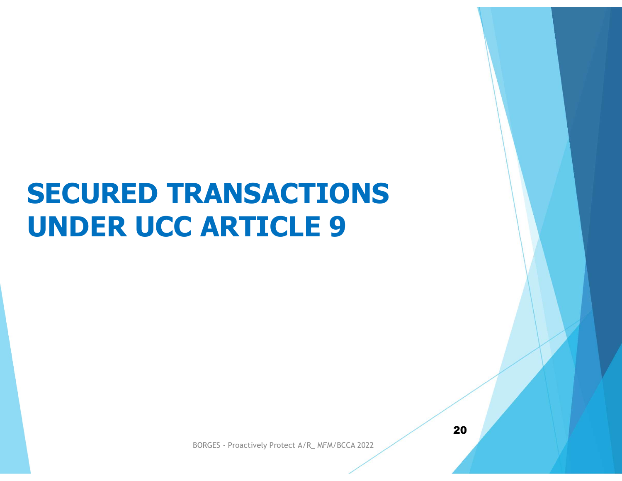#### SECURED TRANSACTIONS UNDER UCC ARTICLE 9

BORGES - Proactively Protect A/R\_ MFM/BCCA 2022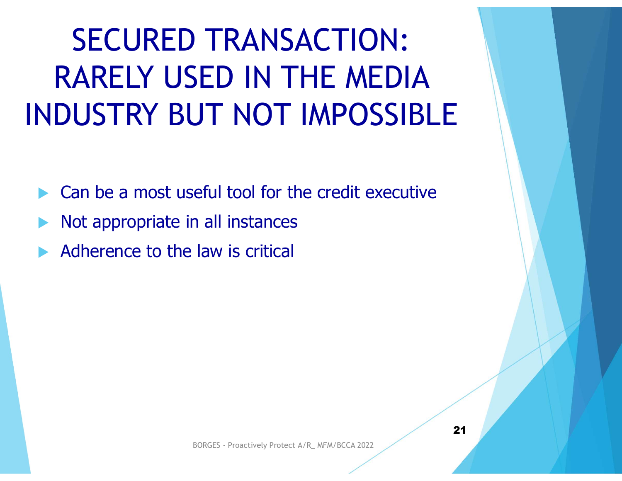#### SECURED TRANSACTION: RARELY USED IN THE MEDIA INDUSTRY BUT NOT IMPOSSIBLE

Can be a most useful tool for the credit executive

- Not appropriate in all instances
- Adherence to the law is critical BORGES - Proactively Protect A/R\_ MFM/BCCA 2022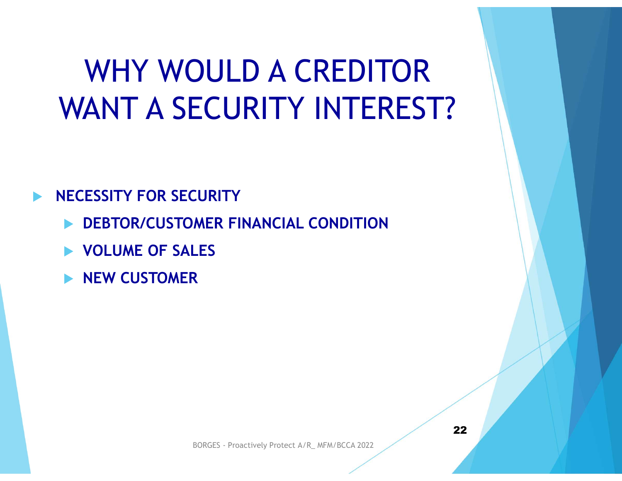#### WHY WOULD A CREDITOR WANT A SECURITY INTEREST?

#### NECESSITY FOR SECURITY

- DEBTOR/CUSTOMER FINANCIAL CONDITION
- **VOLUME OF SALES**
- NEW CUSTOMER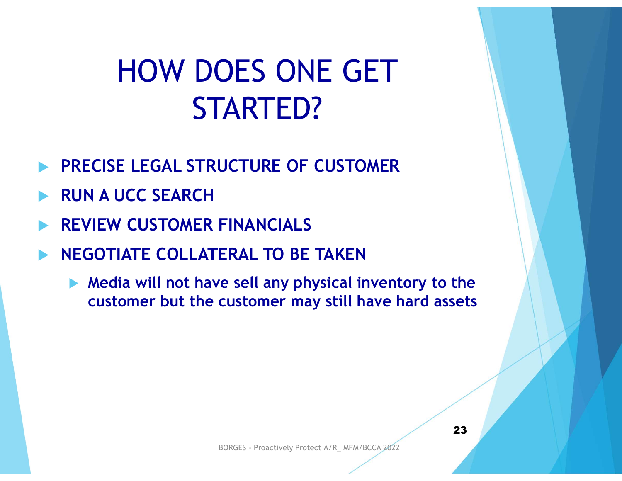#### HOW DOES ONE GET STARTED?

- PRECISE LEGAL STRUCTURE OF CUSTOMER
- RUN A UCC SEARCH
- REVIEW CUSTOMER FINANCIALS
- NEGOTIATE COLLATERAL TO BE TAKEN
- STARTED?<br>
RECISE LEGAL STRUCTURE OF CUSTOMER<br>
EVIEW CUSTOMER FINANCIALS<br>
REGOTIATE COLLATERAL TO BE TAKEN<br>
Media will not have sell any physical inventory to the<br>
customer but the customer may still have hard assets STARTED?<br>
CCISE LEGAL STRUCTURE OF CUSTOMER<br>
VIEW CUSTOMER FINANCIALS<br>
SOTIATE COLLATERAL TO BE TAKEN<br>
Media will not have sell any physical inventory to the<br>
customer but the customer may still have hard assets ERAL TO BE TAKEN<br>
re sell any physical inventory to the<br>
customer may still have hard assets<br>
BORGES - Proactively Protect A/R\_ MFM/BCCA 2022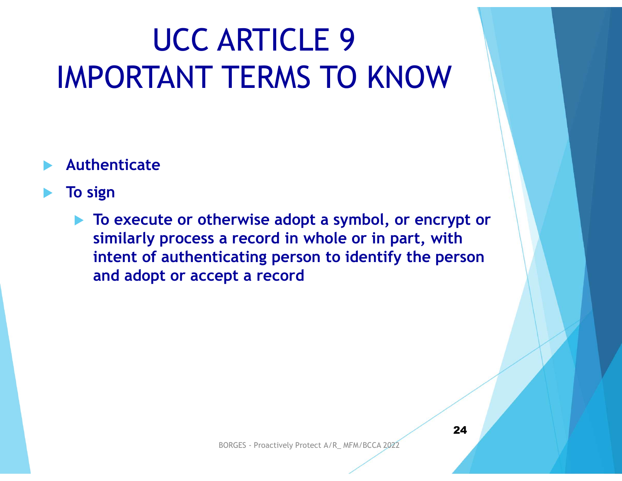#### UCC ARTICLE 9 IMPORTANT TERMS TO KNOW

#### Authenticate

#### To sign

▶ To execute or otherwise adopt a symbol, or encrypt or similarly process a record in whole or in part, with intent of authenticating person to identify the person and adopt or accept a record BORGES - Proactively Protect A/R\_ MFM/BCCA 2022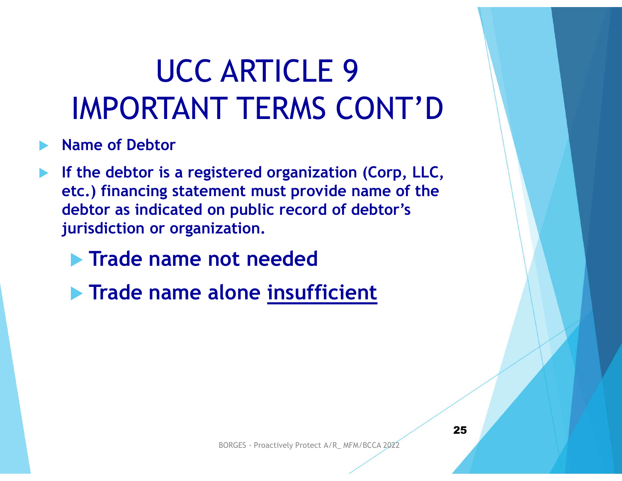#### UCC ARTICLE 9 IMPORTANT TERMS CONT'D

- Name of Debtor
- If the debtor is a registered organization (Corp, LLC, etc.) financing statement must provide name of the debtor as indicated on public record of debtor's jurisdiction or organization.
	- **Trade name not needed**
	- **Trade name alone insufficient** Ot needed<br>
	lone <u>insufficient</u><br>
	BORGES - Proactively Protect A/R\_ MFM/BCCA 2022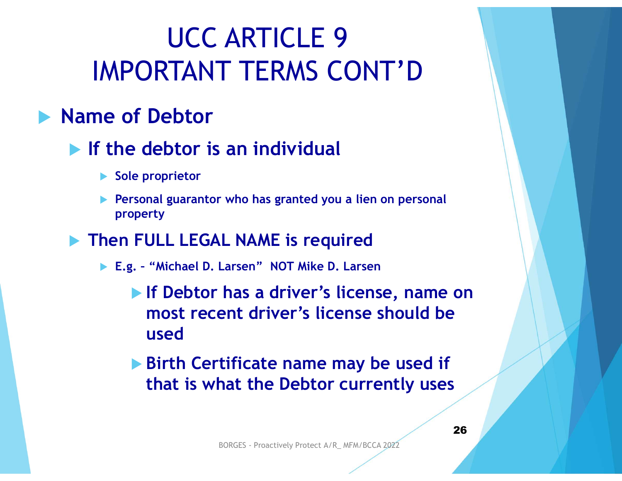#### UCC ARTICLE 9 IMPORTANT TERMS CONT'D

#### **Name of Debtor**

#### $\blacktriangleright$  If the debtor is an individual

- ▶ Sole proprietor
- **Personal guarantor who has granted you a lien on personal** property
- **Then FULL LEGAL NAME is required** 
	-
- MPORTANT TERMS CONT'D<br>
ie of Debtor<br>
the debtor is an individual<br>
Sole proprietor<br>
Personal guarantor who has granted you a lien on personal<br>
property<br>
hen FULL LEGAL NAME is required<br>
E.g. "Michael D. Larsen" NOT Mike D **If Debtor has a driver's license, name on** most recent driver's license should be used EXAME IS required<br>Larsen" NOT Mike D. Larsen<br>has a driver's license, name on<br>ent driver's license should be<br>tificate name may be used if<br>hat the Debtor currently uses<br>BORGES - Proactively Protect A/R\_MFM/BCCA 2022
	- ▶ Birth Certificate name may be used if that is what the Debtor currently uses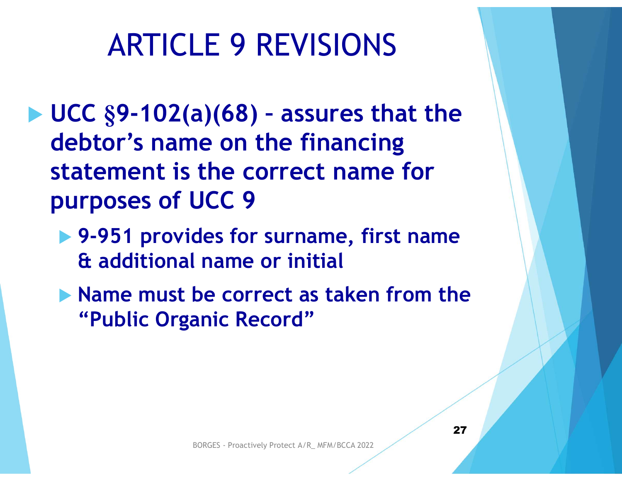#### ARTICLE 9 REVISIONS

- ARTICLE 9 REVISIONS<br>  $\blacktriangleright$  UCC §9-102(a)(68) assures that the<br>
debtor's name on the financing<br>
statement is the serrest name for debtor's name on the financing statement is the correct name for purposes of UCC 9
	- ▶ 9-951 provides for surname, first name & additional name or initial
	- lacktriangleright Mame must be correct as taken from the "Public Organic Record" BORGES - Proactively Protect A/R\_ MFM/BCCA 2022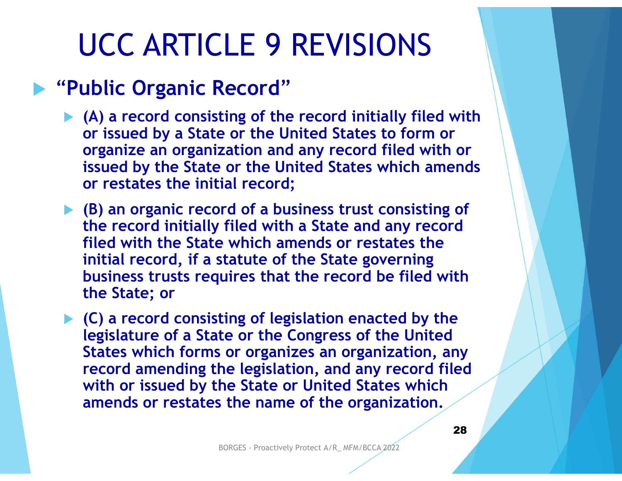#### UCC ARTICLE 9 REVISIONS

#### **Public Organic Record"**

- $\blacktriangleright$  (A) a record consisting of the record initially filed with or issued by a State or the United States to form or organize an organization and any record filed with or issued by the State or the United States which amends or restates the initial record;
- $\blacktriangleright$  (B) an organic record of a business trust consisting of the record initially filed with a State and any record filed with the State which amends or restates the initial record, if a statute of the State governing business trusts requires that the record be filed with the State; or

 $\blacktriangleright$  (C) a record consisting of legislation enacted by the legislature of a State or the Congress of the United States which forms or organizes an organization, any record amending the legislation, and any record filed with or issued by the State or United States which amends or restates the name of the organization. BORGES - Proactively Protect A/R\_ MFM/BCCA 2022<br>BORGES - Proactively Protect A/R\_ MFM/BCCA 2022<br>BORGES - Proactively Protect A/R\_ MFM/BCCA 2022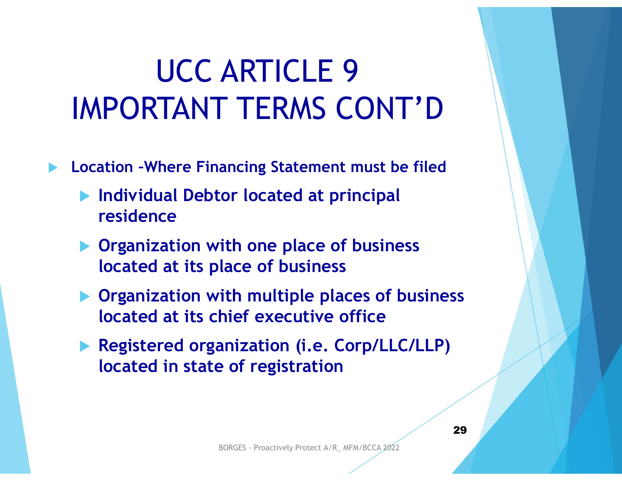#### UCC ARTICLE 9 IMPORTANT TERMS CONT'D

- Location –Where Financing Statement must be filed
	- Individual Debtor located at principal residence
	- **Organization with one place of business** located at its place of business
- **Organization with multiple places of business** located at its chief executive office Collection of the matrix of the filed<br>
Registered organization with one place of business<br>
Registered at its place of business<br>
Registered organization (i.e. Corp/LLC/LLP)<br>
Color in the matrix of registration<br>
Registered The one place of business<br>
lace of business<br>
ith multiple places of business<br>
hief executive office<br>
anization (i.e. Corp/LLC/LLP)<br>
e of registration<br>
BORGES - Proactively Protect A/R\_MFM/BCCA 2022
	- located in state of registration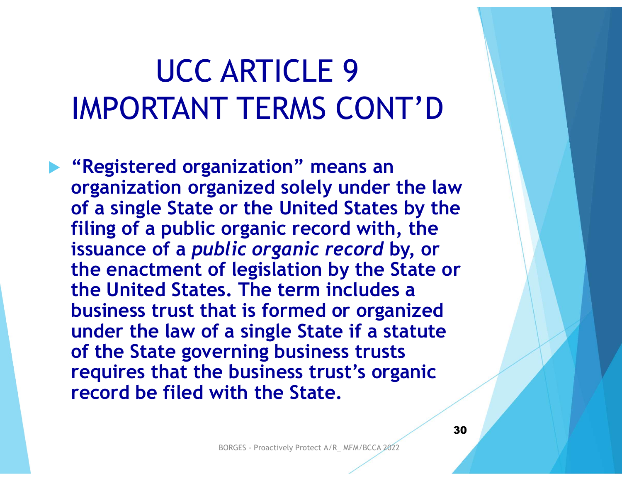#### UCC ARTICLE 9 IMPORTANT TERMS CONT'D

 "Registered organization" means an organization organized solely under the law of a single State or the United States by the filing of a public organic record with, the issuance of a public organic record by, or the enactment of legislation by the State or the United States. The term includes a business trust that is formed or organized under the law of a single State if a statute of the State governing business trusts requires that the business trust's organic record be filed with the State. **Solic organic record by, or<br>
f legislation by the State or<br>
s. The term includes a<br>
at is formed or organized<br>
a single State if a statute<br>
erning business trust's organic<br>
with the State.<br>
BORGES - Proactively Protect A/**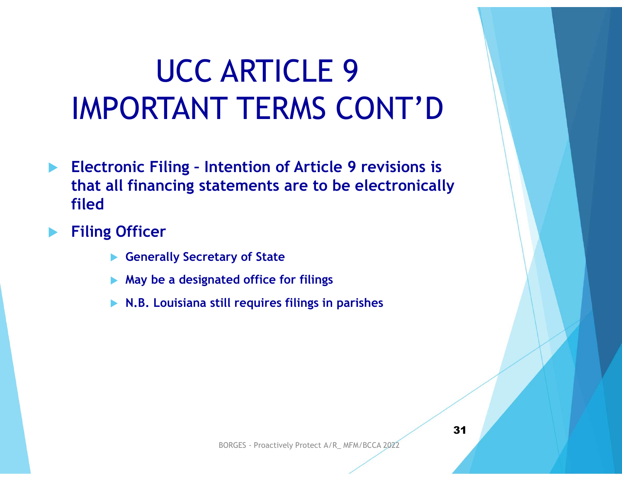## UCC ARTICLE 9 IMPORTANT TERMS CONT'D UCC ARTICLE 9<br>
IMPORTANT TERMS CONT'D<br>
Electronic Filing - Intention of Article 9 revisions is<br>
that all financing statements are to be electronically<br>
filed **UCC ARTICLE 9<br>PORTANT TERMS CONT'D<br>ronic Filing - Intention of Article 9 revisions is<br>all financing statements are to be electronical<br>(Officer<br>A Generally Secretary of State<br>A May be a designated office for filings<br>N.B. L**

- that all financing statements are to be electronically filed
- Filing Officer
	-
	- $\blacktriangleright$  May be a designated office for filings
	- $\blacktriangleright$  N.B. Louisiana still requires filings in parishes ary of State<br>
	ted office for filings<br>
	ill requires filings in parishes<br>
	BORGES - Proactively Protect A/R\_ MFM/BCCA 2022<br>
	31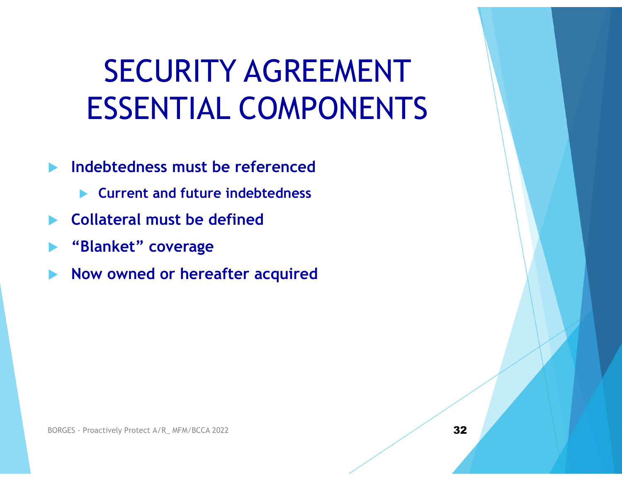#### SECURITY AGREEMENT ESSENTIAL COMPONENTS

- Indebtedness must be referenced
	- **EX Current and future indebtedness**
- Collateral must be defined
- "Blanket" coverage
- Now owned or hereafter acquired Blanket" coverage<br>
■ Now owned or hereafter acquired<br>
BORGES - Proactively Protect A/R\_MFM/BCCA 2022<br>
32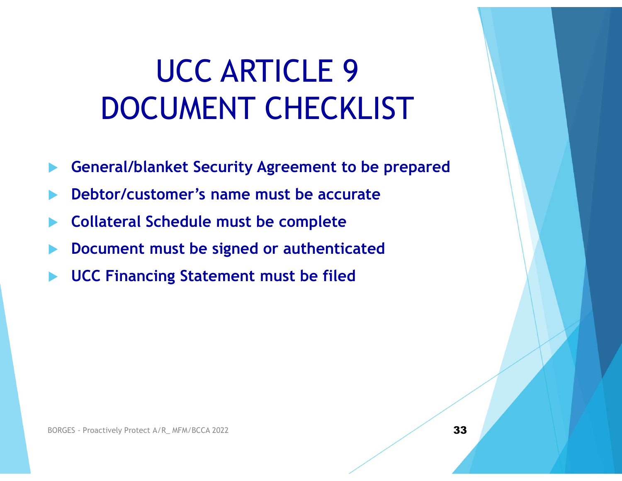#### UCC ARTICLE 9 DOCUMENT CHECKLIST

- General/blanket Security Agreement to be prepared
- Debtor/customer's name must be accurate
- Collateral Schedule must be complete
- Document must be signed or authenticated Document must be signed or authenticated<br>
■ UCC Financing Statement must be filed<br>
■ UCC Financing Statement must be filed<br>
<br>
BORGES - Proactively Protect A/R\_MFM/BCCA 2022
- UCC Financing Statement must be filed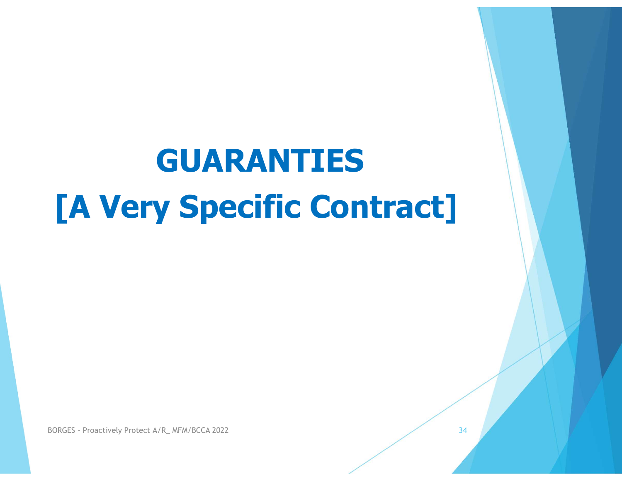#### GUARANTIES [A Very Specific Contract]

BORGES - Proactively Protect A/R\_ MFM/BCCA 2022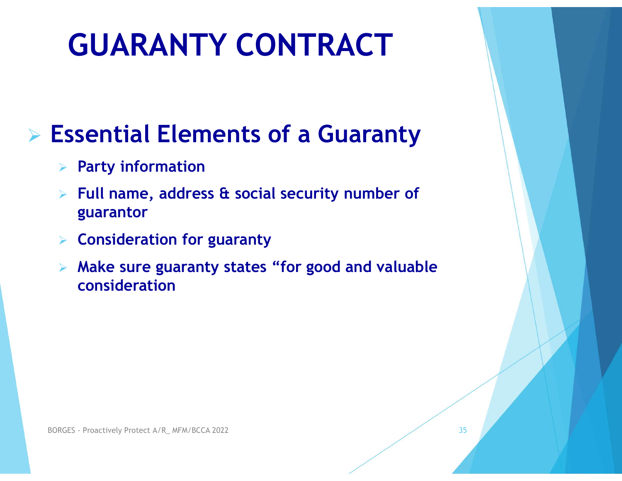#### GUARANTY CONTRACT

#### $\triangleright$  Essential Elements of a Guaranty

- $\triangleright$  Party information
- $\triangleright$  Full name, address & social security number of guarantor
- $\triangleright$  Consideration for guaranty
- $\triangleright$  Make sure guaranty states "for good and valuable consideration  $\triangleright$  Consideration for guaranty<br>  $\triangleright$  Make sure guaranty states "for good consideration<br>  $\text{BORGES - Product}$ <br>  $\text{Proactively Product A/R\_MFM/BCCA 2022}$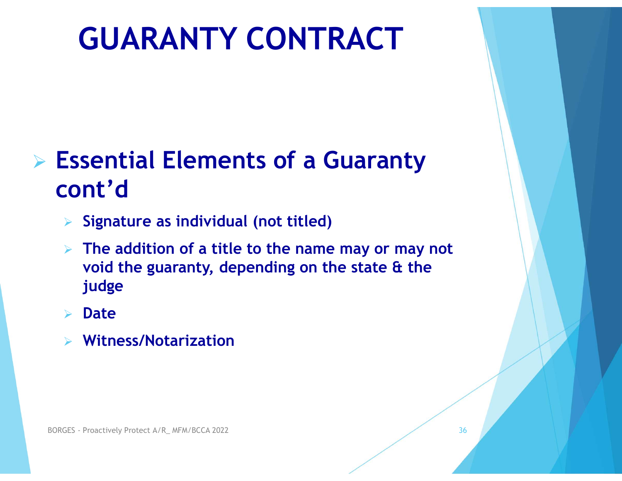#### GUARANTY CONTRACT

#### $\triangleright$  Essential Elements of a Guaranty cont'd

- $\triangleright$  Signature as individual (not titled)
- $\triangleright$  The addition of a title to the name may or may not void the guaranty, depending on the state & the judge  $\triangleright$  The addition of a title to the name<br>void the guaranty, depending on the<br>judge<br> $\triangleright$  Date<br> $\triangleright$  Witness/Notarization<br> $\triangleright$  Witness/Notarization
	- Date
	- Witness/Notarization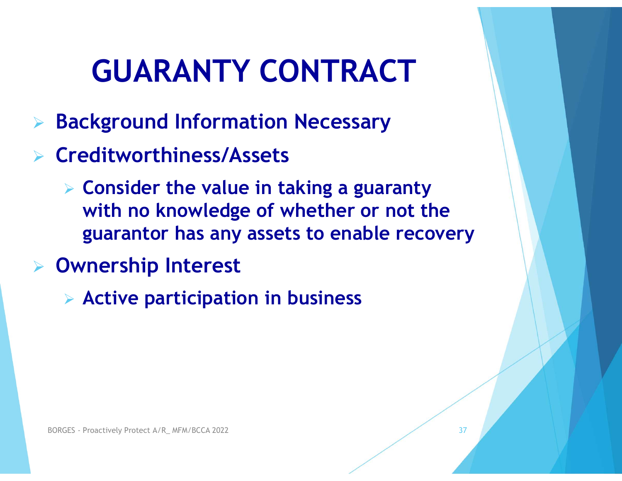- Background Information Necessary
- $\triangleright$  Creditworthiness/Assets
- $\triangleright$  Consider the value in taking a guaranty **GUARANTY CONTRACT**<br>
ckground Information Necessary<br>
editworthiness/Assets<br>
Consider the value in taking a guaranty<br>
with no knowledge of whether or not the<br>
guarantor has any assets to enable recovery<br>
procrabin Interest guarantor has any assets to enable recovery
- Ownership Interest
- Active participation in business **BORGES - Proactively Protect A/R\_ MFM/BCCA 2022**<br>BORGES - Proactively Protect A/R\_ MFM/BCCA 2022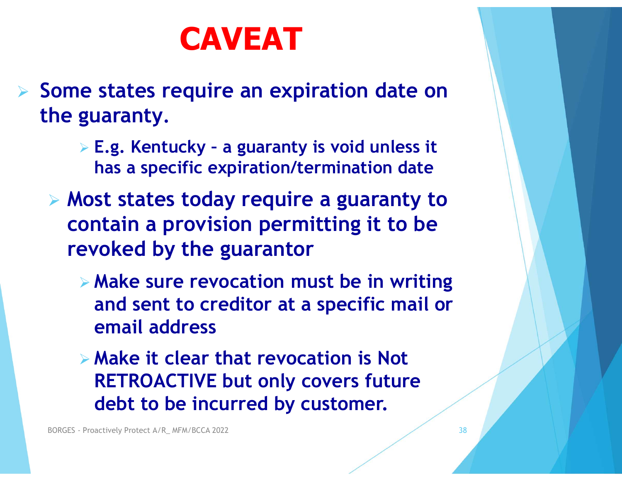#### CAVEAT

- $\triangleright$  Some states require an expiration date on the guaranty. **CAVEAT**<br>
e states require an expiration date on<br>
guaranty.<br>
> E.g. Kentucky - a guaranty is void unless it<br>
has a specific expiration/termination date<br>
Nost states today require a guaranty to
	- has a specific expiration/termination date
	- Most states today require a guaranty to contain a provision permitting it to be revoked by the guarantor
		- $\triangleright$  Make sure revocation must be in writing and sent to creditor at a specific mail or email address
	- Make it clear that revocation is Not RETROACTIVE but only covers future debt to be incurred by customer. EXPRESE PROACTIVE DURINGES - PROACTIVE DURINGES - PROACTIVE DURINGECA 2022<br>BORGES - PROACTIVE DURINGECA 2022<br>BORGES - Proactively Protect A/R\_ MFM/BCCA 2022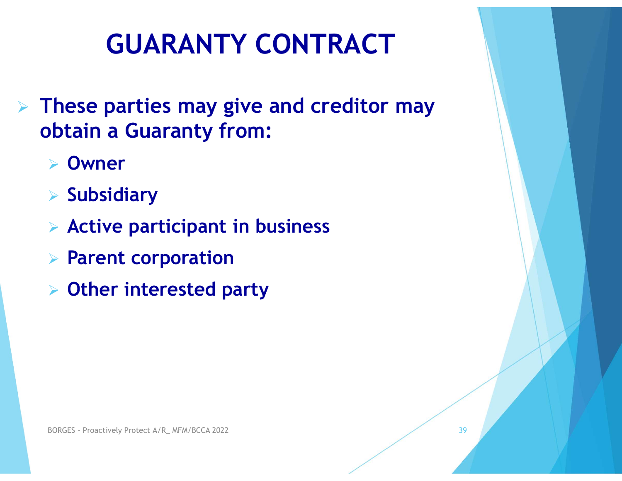39

- GUARANTY CONTRACT<br>
> These parties may give and creditor may<br>
obtain a Guaranty from: obtain a Guaranty from:
	- Owner
	- $\triangleright$  Subsidiary
	- $\triangleright$  Active participant in business
	- $\triangleright$  Parent corporation
	- Other interested party  $>$  Active participant in business<br>  $>$  Parent corporation<br>  $>$  Other interested party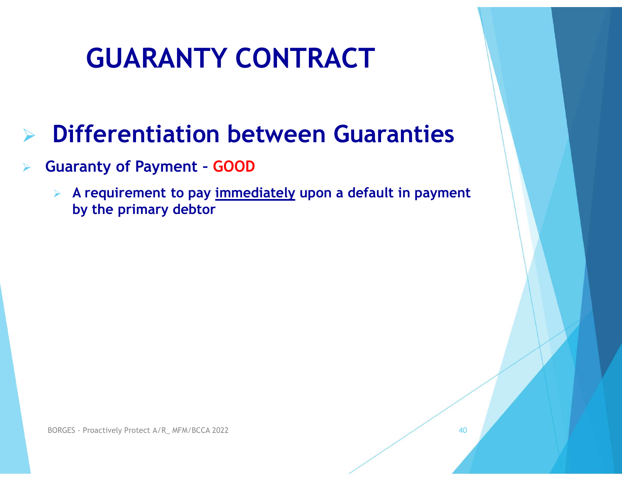#### $\triangleright$  Differentiation between Guaranties

- Guaranty of Payment GOOD
- GUARANTY CONTRACT<br>
Differentiation between Guaranties<br>
Entrantly of Payment GOOD<br>
A requirement to pay <u>immediately</u> upon a default in payment<br>
by the primary debtor by the primary debtor

40

BORGES - Proactively Protect A/R\_ MFM/BCCA 2022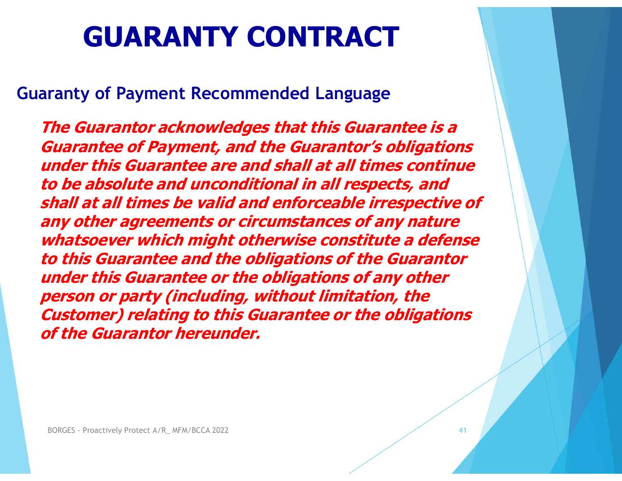#### Guaranty of Payment Recommended Language

The Guarantor acknowledges that this Guarantee is a Guarantee of Payment, and the Guarantor's obligations under this Guarantee are and shall at all times continue to be absolute and unconditional in all respects, and shall at all times be valid and enforceable irrespective of any other agreements or circumstances of any nature whatsoever which might otherwise constitute a defense to this Guarantee and the obligations of the Guarantor under this Guarantee or the obligations of any other person or party (including, without limitation, the Customer) relating to this Guarantee or the obligations of the Guarantor hereunder. **Example 21 Constrained Stream State Constructs that Solver Which might otherwise co.**<br>This Guarantee and the obligations of<br>Inder this Guarantee or the obligation<br>Person or party (including, without lime<br>Customer) relatin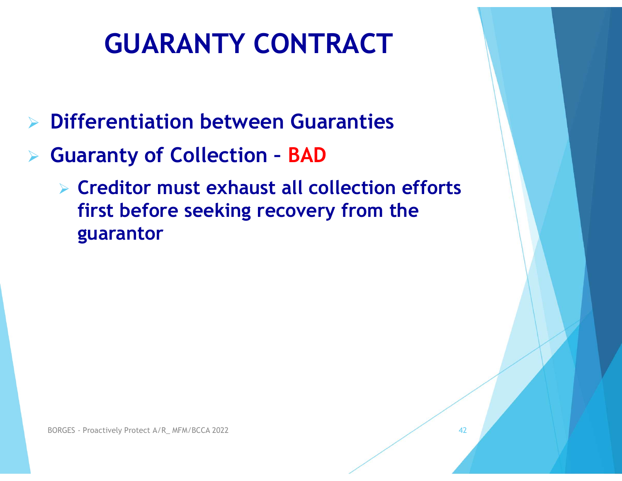- $\triangleright$  Differentiation between Guaranties
- Guaranty of Collection BAD
	- $\triangleright$  Creditor must exhaust all collection efforts first before seeking recovery from the guarantor **guarantor**<br>BORGES - Proactively Protect A/R\_ MFM/BCCA 2022

42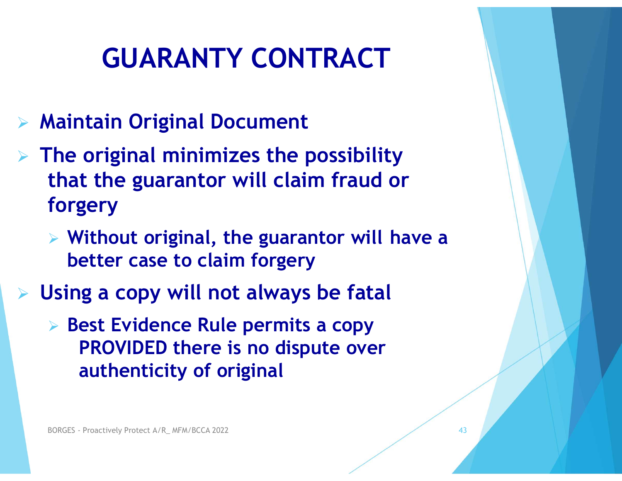- Maintain Original Document
- $\triangleright$  The original minimizes the possibility that the guarantor will claim fraud or forgery
	- $\triangleright$  Without original, the guarantor will have a better case to claim forgery
- Using a copy will not always be fatal
- **Best Evidence Rule permits a copy** PROVIDED there is no dispute over authenticity of original  $\triangleright$  Without original, the guarantom better case to claim forgery<br>Jsing a copy will not always be<br> $\triangleright$  Best Evidence Rule permits a correlation properties to dispute<br>authenticity of original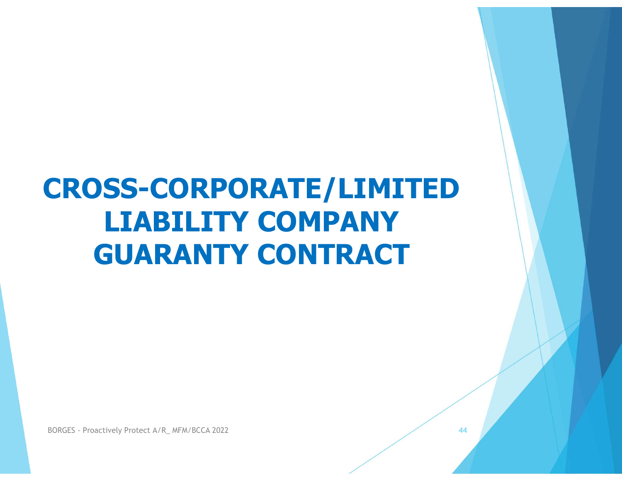## CROSS-CORPORATE/LIMITED LIABILITY COMPANY GUARANTY CONTRACT BORGES - Proactively Protect A/R\_MFM/BCCA 2022

44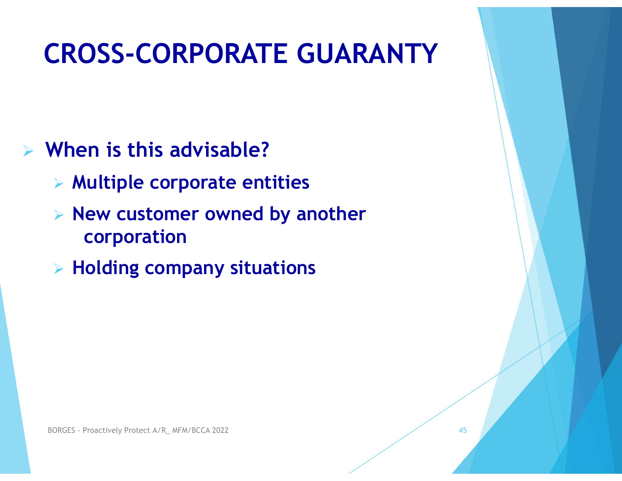#### CROSS-CORPORATE GUARANTY

- $\triangleright$  When is this advisable?
	- $\triangleright$  Multiple corporate entities
	- $\triangleright$  New customer owned by another corporation → **Holding company situations**<br>
	→ **Holding company situations**<br>
	BORGES - Proactively Protect A/R\_ MFM/BCCA 2022

45 **1990 - 1990 - 1990 - 1990 - 1990 - 1990 - 1990 - 1990 - 1990 - 1990 - 1990 - 1990 - 1990 - 1990** 

 $\triangleright$  Holding company situations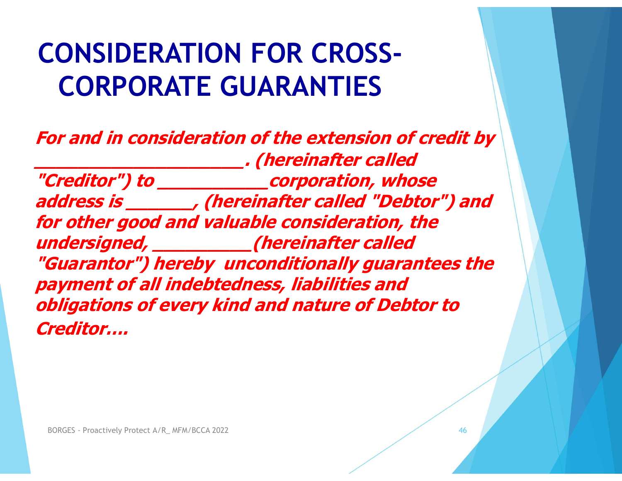#### CONSIDERATION FOR CROSS-CORPORATE GUARANTIES

For and in consideration of the extension of credit by \_\_\_\_\_\_\_\_\_\_\_\_\_\_\_\_\_\_\_. (hereinafter called "Creditor") to \_\_\_\_\_\_\_\_\_\_corporation, whose address is \_\_\_\_\_\_, (hereinafter called "Debtor") and for other good and valuable consideration, the undersigned, \_\_\_\_\_\_\_\_\_(hereinafter called "Guarantor") hereby unconditionally guarantees the payment of all indebtedness, liabilities and obligations of every kind and nature of Debtor to Creditor…. **ndersigned, \_\_\_\_\_\_\_\_\_\_\_\_(hereinaft**<br>**Guarantor") hereby unconditional<br>ayment of all indebtedness, liabili**<br>bligations of every kind and natur<br>reditor....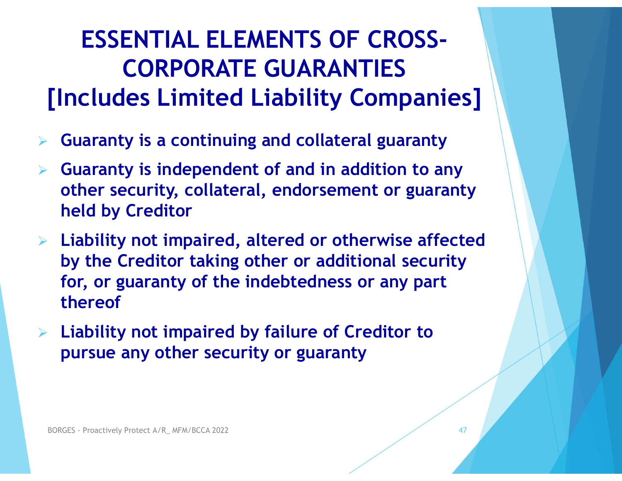#### ESSENTIAL ELEMENTS OF CROSS-CORPORATE GUARANTIES [Includes Limited Liability Companies]

- Guaranty is a continuing and collateral guaranty
- $\triangleright$  Guaranty is independent of and in addition to any other security, collateral, endorsement or guaranty held by Creditor
- $\triangleright$  Liability not impaired, altered or otherwise affected by the Creditor taking other or additional security for, or guaranty of the indebtedness or any part thereof Liability not impaired, altered or o<br>by the Creditor taking other or add<br>for, or guaranty of the indebtednes<br>thereof<br>Liability not impaired by failure of<br>pursue any other security or guara
- Liability not impaired by failure of Creditor to pursue any other security or guaranty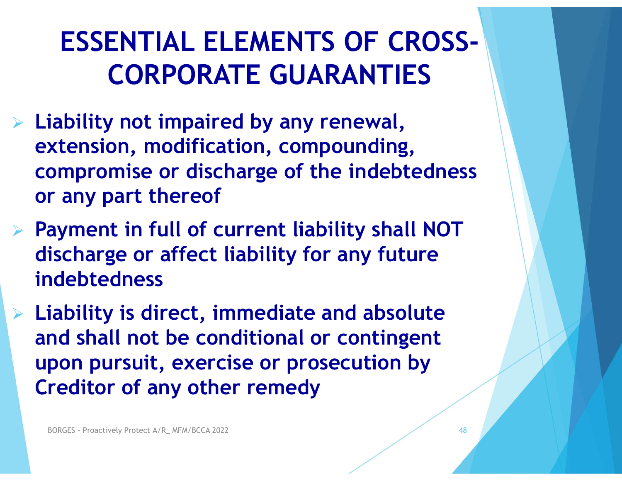#### ESSENTIAL ELEMENTS OF CROSS-CORPORATE GUARANTIES

- $\triangleright$  Liability not impaired by any renewal, extension, modification, compounding, compromise or discharge of the indebtedness or any part thereof
- $\triangleright$  Payment in full of current liability shall NOT discharge or affect liability for any future indebtedness
- $\triangleright$  Liability is direct, immediate and absolute and shall not be conditional or contingent upon pursuit, exercise or prosecution by Creditor of any other remedy **ayment in full of current liability for and scharge or affect liability for and shall not be conditional or divided and shall not be conditional or divided and shall not be conditional or divided and shall not be conditio**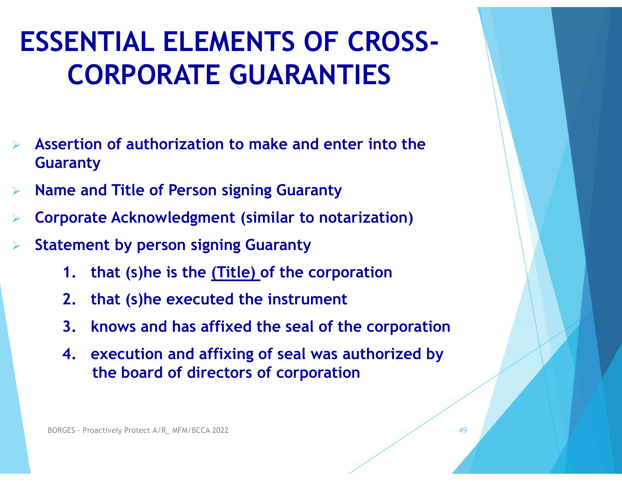## ESSENTIAL ELEMENTS OF CROSS-CORPORATE GUARANTIES ESSENTIAL ELEMENTS OF CROSS-<br>
CORPORATE GUARANTIES<br>
→ Assertion of authorization to make and enter into the<br>
Guaranty<br>
→ Name and Title of Person signing Guaranty ESSENTIAL ELEMENTS OF CROSS-<br>
CORPORATE GUARANTIES<br>
<br>
Assertion of authorization to make and enter into the<br>
Guaranty<br>

> Name and Title of Person signing Guaranty<br>
> Corporate Acknowledgment (similar to notarization)<br>
> S

- Guaranty
- Name and Title of Person signing Guaranty
- 
- Statement by person signing Guaranty
	- 1. that (s)he is the (Title) of the corporation
	- 2. that (s)he executed the instrument
	- 3. knows and has affixed the seal of the corporation
- 4. execution and affixing of seal was authorized by the board of directors of corporation **Example 12 and Solvey Profection Signing Guaranty**<br> **1.** that (s)he is the <u>(Title)</u> of the corp<br> **2.** that (s)he executed the instrumen<br> **3.** knows and has affixed the seal of 1<br> **4.** execution and affixing of seal was<br>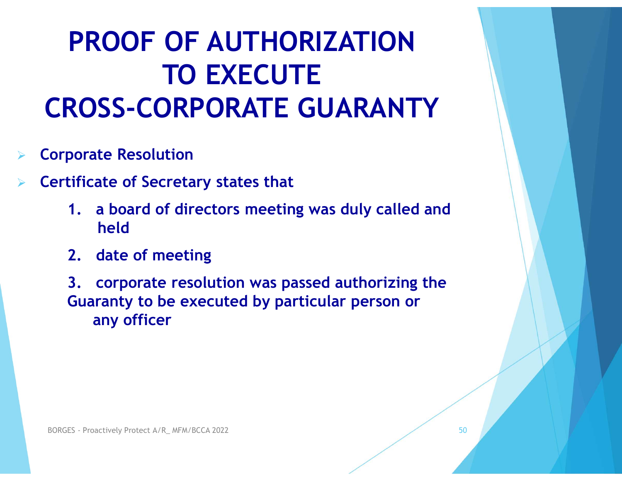#### PROOF OF AUTHORIZATION TO EXECUTE CROSS-CORPORATE GUARANTY

- Corporate Resolution
- Certificate of Secretary states that
	- 1. a board of directors meeting was duly called and held
	- 2. date of meeting
- 3. corporate resolution was passed authorizing the **ROSS-CORPORATE GUARANTY**<br>porate Resolution<br>tificate of Secretary states that<br>1. a board of directors meeting was duly called and<br>held<br>2. date of meeting<br>3. corporate resolution was passed authorizing the<br>Guaranty to be ex any officer **DROES**<br>**BORGES - Proactively Protect A/R\_ MFM/BCCA 2022**<br>**BORGES** - Proactively Protect A/R\_ MFM/BCCA 2022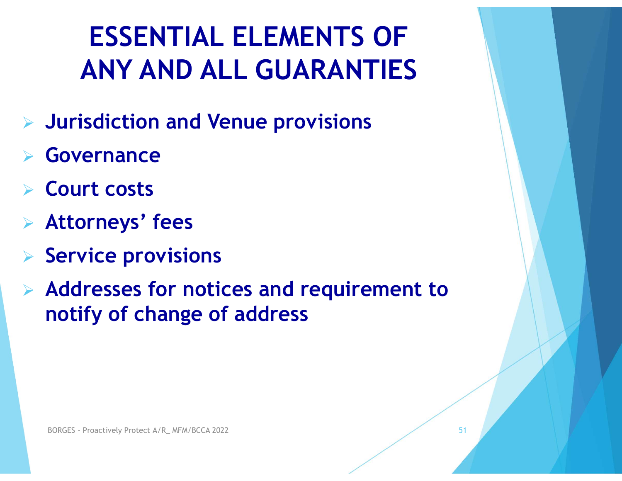#### ESSENTIAL ELEMENTS OF ANY AND ALL GUARANTIES

- Jurisdiction and Venue provisions
- Governance
- $\triangleright$  Court costs
- Attorneys' fees
- $\triangleright$  Service provisions
- Addresses for notices and requirement to notify of change of address Service provisions<br>Addresses for notices and requentify of change of address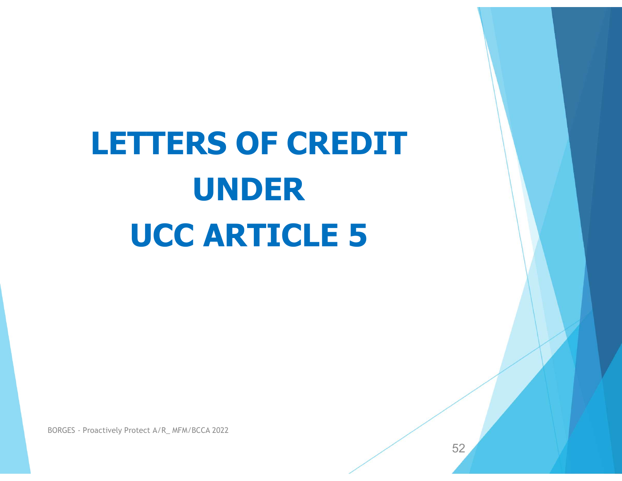## LETTERS OF CREDIT UNDER UCC ARTICLE 5 BORGES - Proactively Protect A/R\_MFM/BCCA 2022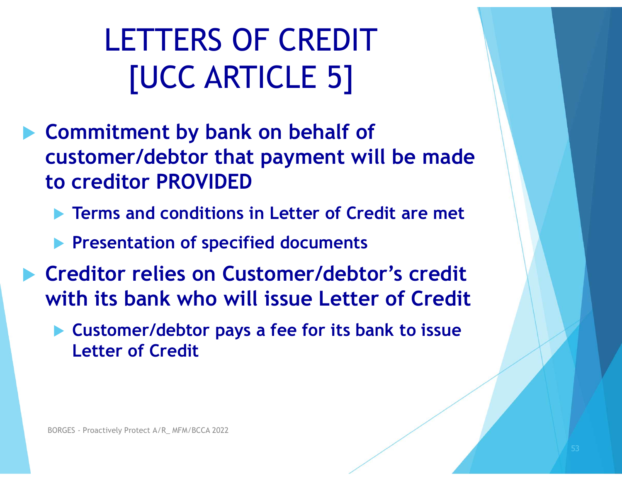LETTERS OF CREDIT [UCC ARTICLE 5]

- ▶ Commitment by bank on behalf of customer/debtor that payment will be made to creditor PROVIDED
	- **Terms and conditions in Letter of Credit are met**
	- **Presentation of specified documents**
- **Exercitor relies on Customer/debtor's credit** with its bank who will issue Letter of Credit BORGES - Proactively Protect A/R\_ MFM/BCCA 2022<br>BORGES - Proactively Protect A/R\_ MFM/BCCA 2022
	- Customer/debtor pays a fee for its bank to issue Letter of Credit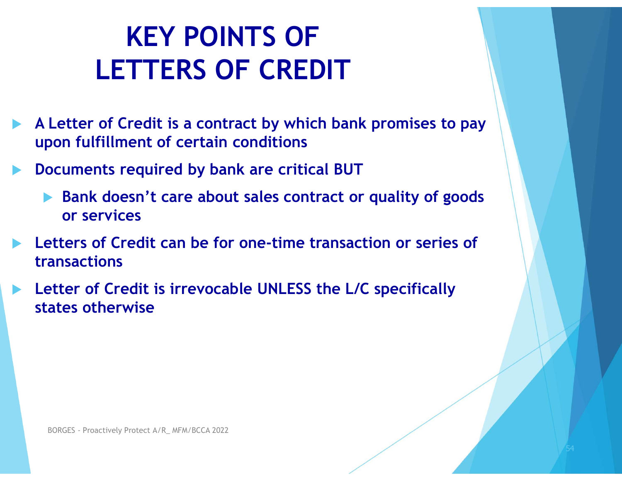#### KEY POINTS OF LETTERS OF CREDIT

- A Letter of Credit is a contract by which bank promises to pay upon fulfillment of certain conditions
- Documents required by bank are critical BUT
	- ▶ Bank doesn't care about sales contract or quality of goods or services
- Letters of Credit can be for one-time transaction or series of transactions **Expection States of Credit is irrevocable UNLESS the**<br>Borges of Martines of the Supervise and Supervise CA 2022<br>BORGES - Proactively Protect A/R\_ MFM/BCCA 2022
- Letter of Credit is irrevocable UNLESS the L/C specifically states otherwise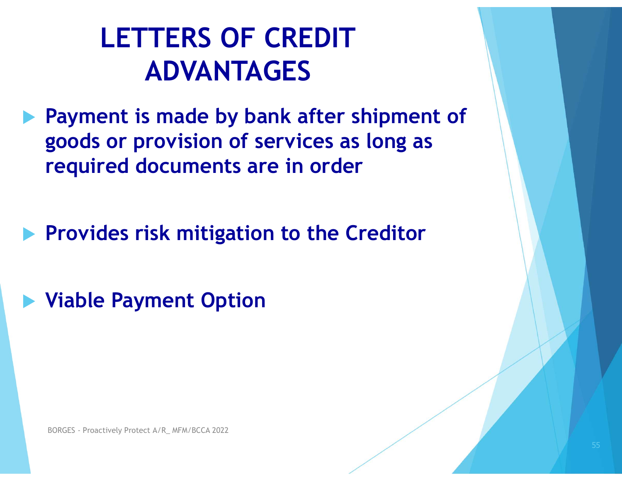#### LETTERS OF CREDIT ADVANTAGES

**Payment is made by bank after shipment of** goods or provision of services as long as required documents are in order

 $\blacktriangleright$  Provides risk mitigation to the Creditor Provides risk mitigation to the<br>Viable Payment Option<br>BORGES - Proactively Protect A/R\_MFM/BCCA 2022

Viable Payment Option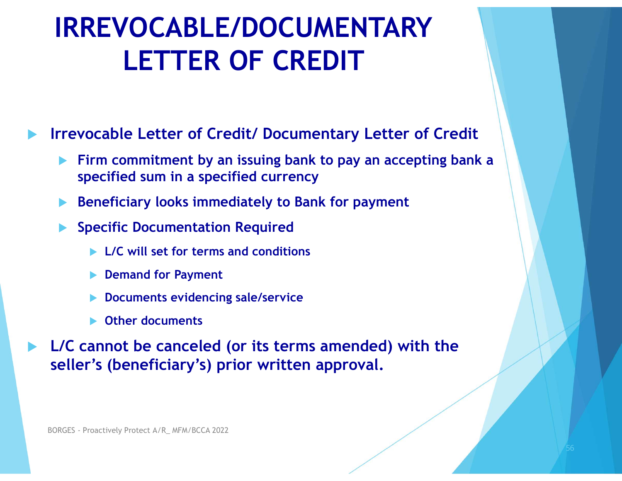#### IRREVOCABLE/DOCUMENTARY LETTER OF CREDIT

Irrevocable Letter of Credit/ Documentary Letter of Credit

- Firm commitment by an issuing bank to pay an accepting bank a specified sum in a specified currency
- Beneficiary looks immediately to Bank for payment
- Specific Documentation Required
	- L/C will set for terms and conditions
	- Demand for Payment
	- Documents evidencing sale/service
	- Other documents

 L/C cannot be canceled (or its terms amended) with the seller's (beneficiary's) prior written approval. ► Specific Documentation Required<br>
► L/C will set for terms and conditions<br>
► Demand for Payment<br>
► Documents evidencing sale/service<br>
► Other documents<br>
L/C cannot be canceled (or its terms am<br>
seller's (beneficiary's)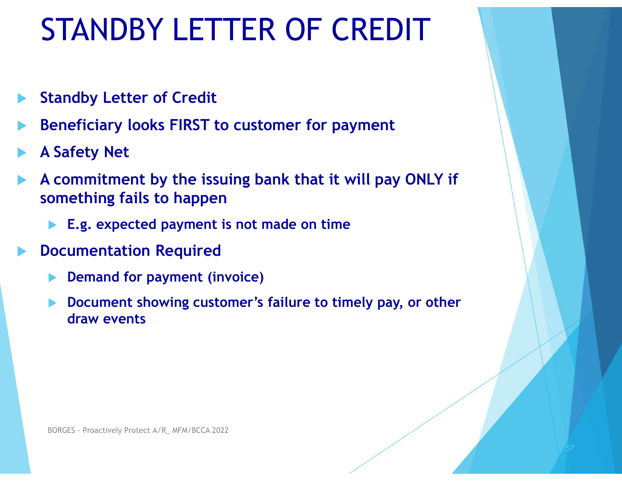#### STANDBY LETTER OF CREDIT

- Standby Letter of Credit
- Beneficiary looks FIRST to customer for payment
- A Safety Net
- A commitment by the issuing bank that it will pay ONLY if something fails to happen  $\begin{array}{|l|l|} \hline \text{GNDBY LEI I EN OF CREDII} \ \hline \text{tandy Letter of Credit} \\\hline \text{taneficiency looks FIRST to customer for payment} \ \text{Safety Net} \\\hline \text{d} & \text{d} & \text{d} & \text{d} \\\text{d} & \text{d} & \text{d} & \text{d} \\\text{d} & \text{d} & \text{d} & \text{d} \\\hline \text{d} & \text{d} & \text{d} & \text{d} \\\hline \text{d} & \text{d} & \text{d} & \text{d} \\\hline \text{d} & \text{d} & \text{d} & \$ 
	-
- Documentation Required
	- Demand for payment (invoice)
- Document showing customer's failure to timely pay, or other draw events BORGES - Proactively Protect A/R\_ MFM/BCCA 2022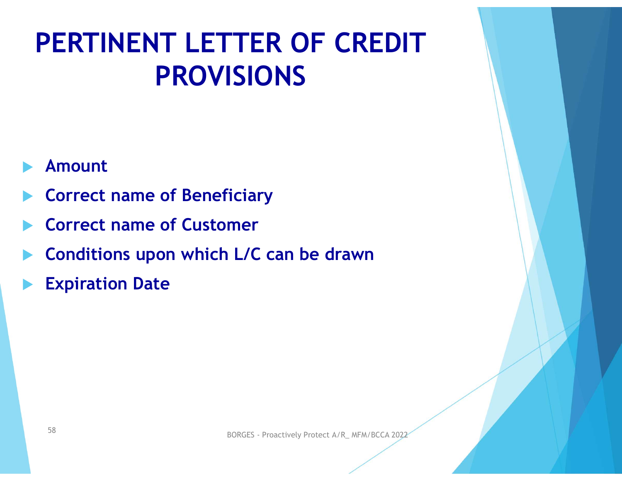#### PERTINENT LETTER OF CREDIT PROVISIONS

#### Amount

- Correct name of Beneficiary
- Correct name of Customer
- Conditions upon which L/C can be drawn Expiration Date<br>Expiration Date<br>S8<br>BORGES - Proactively Protect A/R\_ MFM/BCCA 2022
- Expiration Date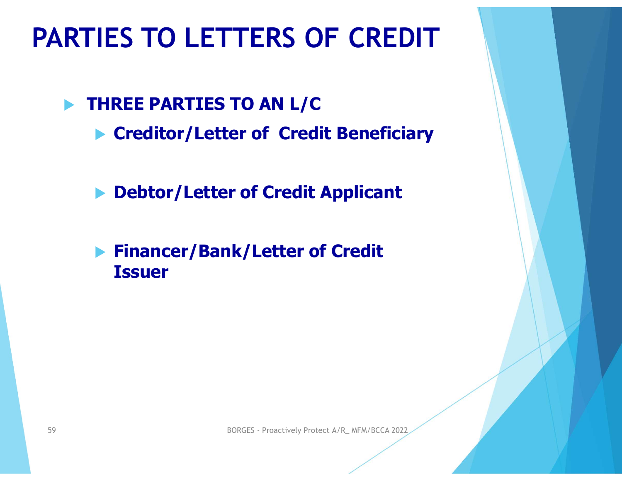#### PARTIES TO LETTERS OF CREDIT

**THREE PARTIES TO AN L/C** 

- ▶ Creditor/Letter of Credit Beneficiary
- ▶ Debtor/Letter of Credit Applicant
- **Financer/Bank/Letter of Credit** Issuer Financer/Bank/Letter of Credit<br>Issuer<br>BORGES - Proactively Protect A/R\_MFM/BCCA 2022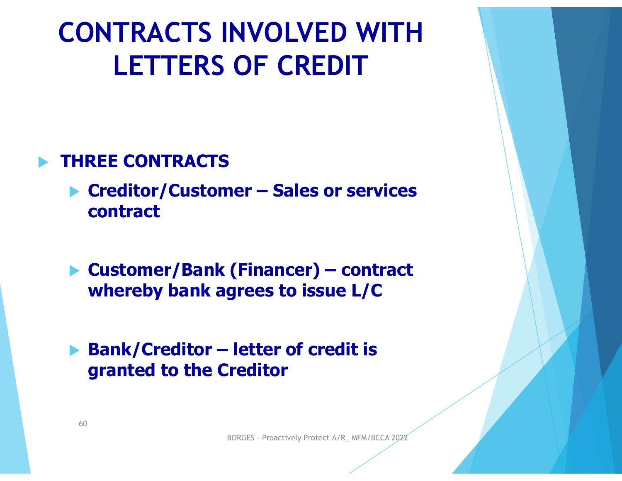## CONTRACTS INVOLVED WITH LETTERS OF CREDIT CONTRACTS INVOLVED WITH<br>LETTERS OF CREDIT<br>THREE CONTRACTS<br>Creditor/Customer – Sales or services<br>contract

#### THREE CONTRACTS

- contract LETTERS OF CREDIT<br>
THREE CONTRACTS<br>
▶ Creditor/Customer – Sales or services<br>
contract<br>
▶ Customer/Bank (Financer) – contract<br>
whereby bank agrees to issue L/C THREE CONTRACTS<br>
▶ Creditor/Customer – Sales or services<br>
contract<br>
▶ Customer/Bank (Financer) – contract<br>
whereby bank agrees to issue L/C<br>
▶ Bank/Creditor – letter of credit is<br>
granted to the Creditor
- whereby bank agrees to issue L/C (Financer) – contract<br>grees to issue L/C<br>letter of credit is<br>ireditor<br>BORGES - Proactively Protect A/R\_ MFM/BCCA 2022
- granted to the Creditor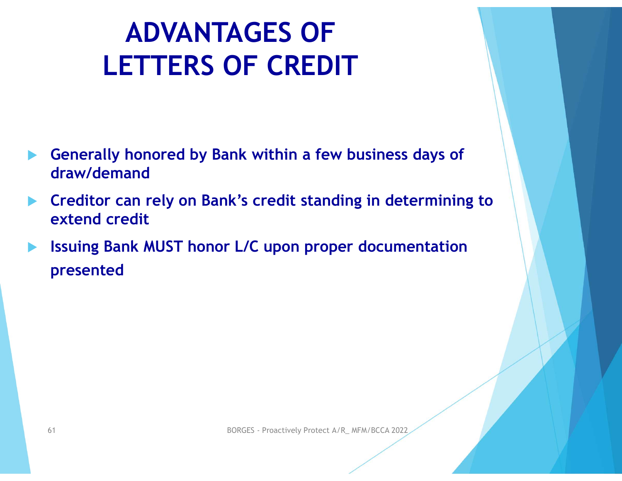#### ADVANTAGES OF LETTERS OF CREDIT

- Generally honored by Bank within a few business days of draw/demand
- Creditor can rely on Bank's credit standing in determining to extend credit
- Issuing Bank MUST honor L/C upon proper documentation presented Issuing Bank MUST honor L/C upon proper documentation<br>presented<br> $\begin{array}{c} \text{61} \end{array}$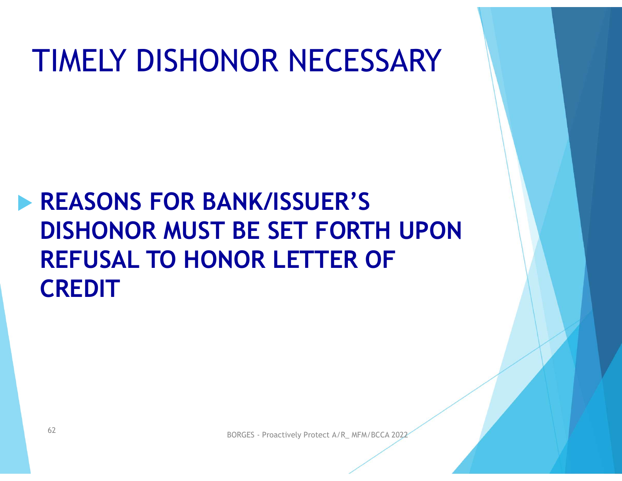#### TIMELY DISHONOR NECESSARY

### **REASONS FOR BANK/ISSUER'S** DISHONOR MUST BE SET FORTH UPON REFUSAL TO HONOR LETTER OF **CREDIT** SISHUNUK MUST BE SET FUKTH UPUN<br>REFUSAL TO HONOR LETTER OF<br>TREDIT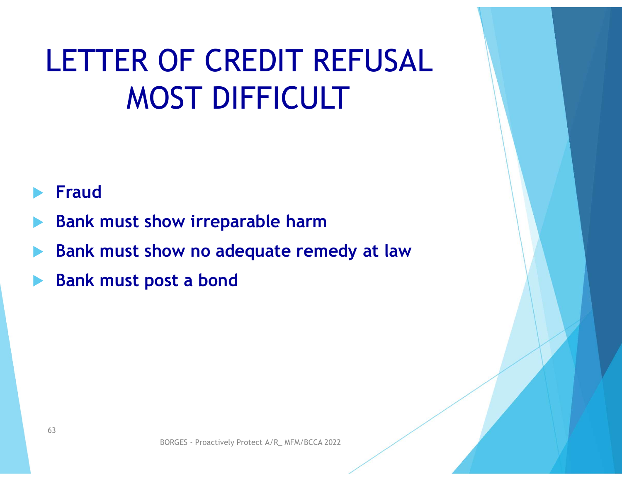#### LETTER OF CREDIT REFUSAL MOST DIFFICULT

#### Fraud

- Bank must show irreparable harm
- Bank must show no adequate remedy at law BORGES - Proactively Protect A/R\_ MFM/BCCA 2022
- Bank must post a bond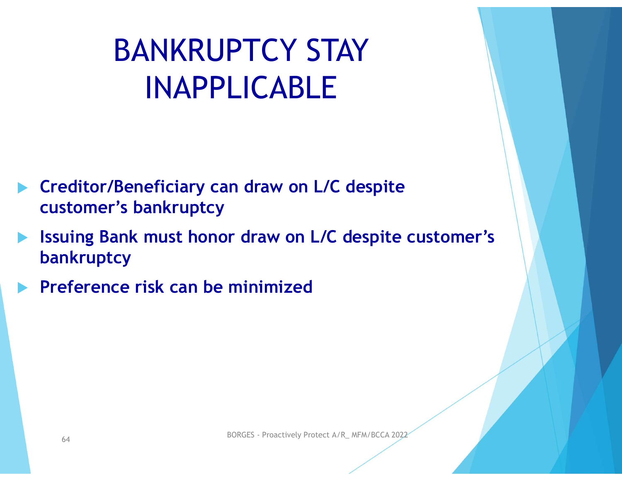#### BANKRUPTCY STAY INAPPLICABLE

- **Creditor/Beneficiary can draw on L/C despite** customer's bankruptcy
- Issuing Bank must honor draw on L/C despite customer's bankruptcy uing Bank must honor draw on L/C despite customer's<br>nkruptcy<br>eference risk can be minimized<br> $\frac{1}{64}$
- Preference risk can be minimized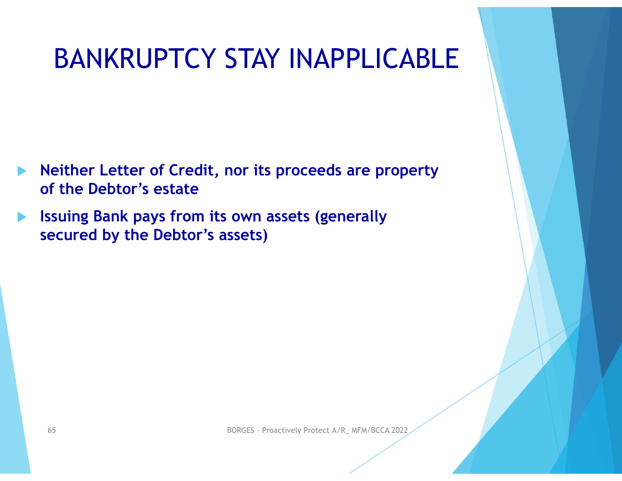#### BANKRUPTCY STAY INAPPLICABLE

- Neither Letter of Credit, nor its proceeds are property of the Debtor's estate
- Issuing Bank pays from its own assets (generally secured by the Debtor's assets) ecured by the Debtor's assets)<br>  $\frac{65}{65}$ <br>  $\frac{60RGES - \text{Proactively Project A/R\_MFM/BCCA 2022}}{256}$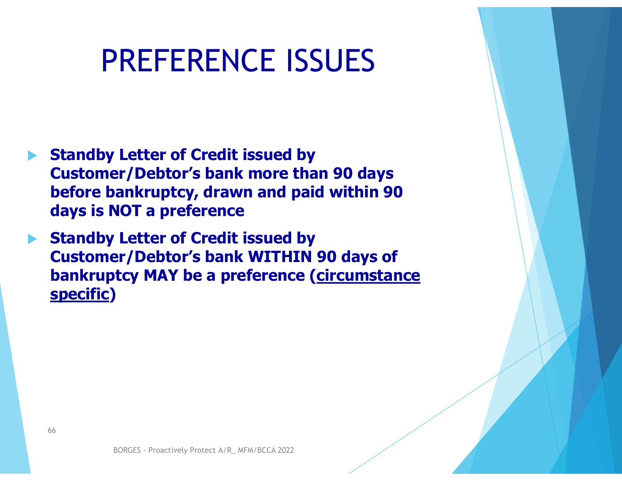#### PREFERENCE ISSUES

- Standby Letter of Credit issued by Customer/Debtor's bank more than 90 days before bankruptcy, drawn and paid within 90 days is NOT a preference
- Standby Letter of Credit issued by Customer/Debtor's bank WITHIN 90 days of bankruptcy MAY be a preference (circumstance specific) **Er/Debtor's bank WITHIN 90 days of<br>tcy MAY be a preference (circumstance)**<br>and the series of the series of the series of the series of the series of the series of the series of the series of the series of the series of th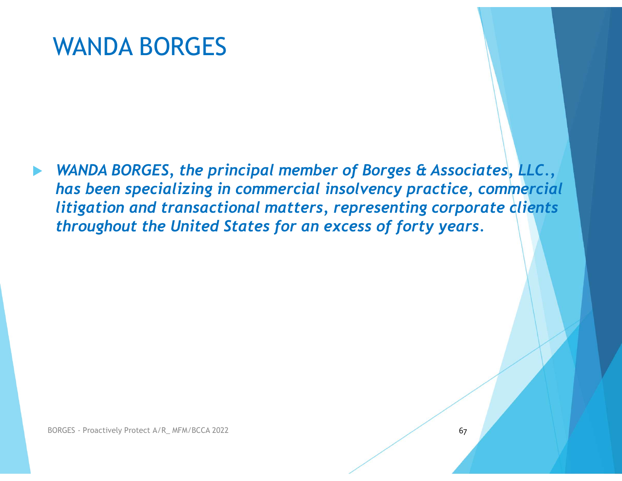WANDA BORGES, the principal member of Borges & Associates, LLC., has been specializing in commercial insolvency practice, commercial litigation and transactional matters, representing corporate clients throughout the United States for an excess of forty years.  $BORGES - \text{Proactively Project A/R\_MFM/BCCA 2022}$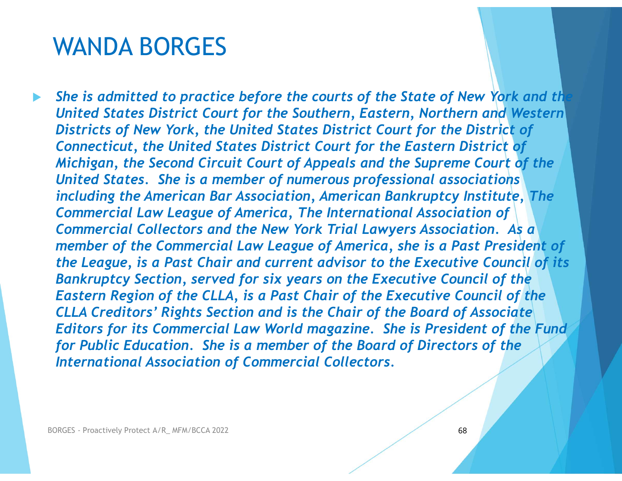She is admitted to practice before the courts of the State of New York and the United States District Court for the Southern, Eastern, Northern and Western Districts of New York, the United States District Court for the District of Connecticut, the United States District Court for the Eastern District of Michigan, the Second Circuit Court of Appeals and the Supreme Court of the United States. She is a member of numerous professional associations including the American Bar Association, American Bankruptcy Institute, The Commercial Law League of America, The International Association of Commercial Collectors and the New York Trial Lawyers Association. As a member of the Commercial Law League of America, she is a Past President of the League, is a Past Chair and current advisor to the Executive Council of its Bankruptcy Section, served for six years on the Executive Council of the Eastern Region of the CLLA, is a Past Chair of the Executive Council of the CLLA Creditors' Rights Section and is the Chair of the Board of Associate Editors for its Commercial Law World magazine. She is President of the Fund for Public Education. She is a member of the Board of Directors of the International Association of Commercial Collectors. Commercial Collectors and the New York Trial Lawyers Associan<br>
member of the Commercial Law League of America, she is a Pa<br>
the League, is a Past Chair and current advisor to the Executive<br>
Bankruptcy Section, served for s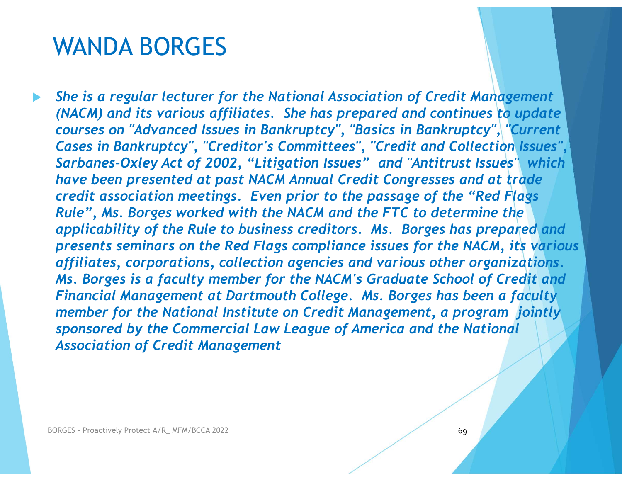She is a regular lecturer for the National Association of Credit Management (NACM) and its various affiliates. She has prepared and continues to update courses on "Advanced Issues in Bankruptcy", "Basics in Bankruptcy", "Current Cases in Bankruptcy", "Creditor's Committees", "Credit and Collection Issues", Sarbanes-Oxley Act of 2002, "Litigation Issues" and "Antitrust Issues" which have been presented at past NACM Annual Credit Congresses and at trade credit association meetings. Even prior to the passage of the "Red Flags Rule", Ms. Borges worked with the NACM and the FTC to determine the applicability of the Rule to business creditors. Ms. Borges has prepared and presents seminars on the Red Flags compliance issues for the NACM, its various affiliates, corporations, collection agencies and various other organizations. Ms. Borges is a faculty member for the NACM's Graduate School of Credit and Financial Management at Dartmouth College. Ms. Borges has been a faculty member for the National Institute on Credit Management, a program jointly sponsored by the Commercial Law League of America and the National Association of Credit Management applicability of the Rule to business creditors. Ms. Borges ha.<br>presents seminars on the Red Flags compliance issues for the l<br>affiliates, corporations, collection agencies and various other<br>Ms. Borges is a faculty member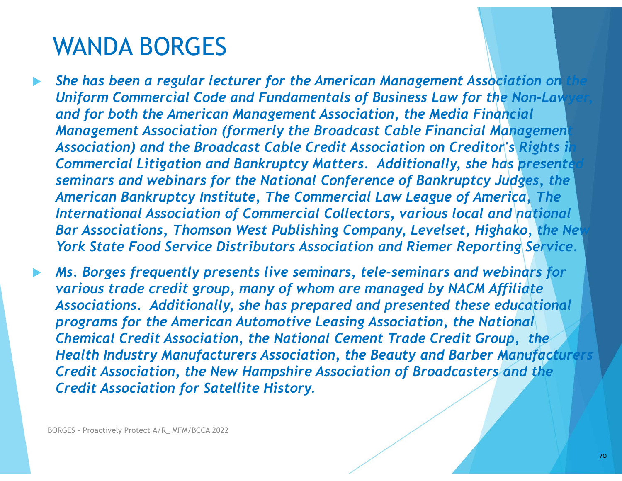- She has been a regular lecturer for the American Management Association on Uniform Commercial Code and Fundamentals of Business Law for the Non-Law and for both the American Management Association, the Media Financial Management Association (formerly the Broadcast Cable Financial Management Association) and the Broadcast Cable Credit Association on Creditor's Rights il Commercial Litigation and Bankruptcy Matters. Additionally, she has presente seminars and webinars for the National Conference of Bankruptcy Judges, the American Bankruptcy Institute, The Commercial Law League of America, The International Association of Commercial Collectors, various local and national Bar Associations, Thomson West Publishing Company, Levelset, Highako, the New York State Food Service Distributors Association and Riemer Reporting Service.
- Ms. Borges frequently presents live seminars, tele-seminars and webinars for various trade credit group, many of whom are managed by NACM Affiliate Associations. Additionally, she has prepared and presented these educational programs for the American Automotive Leasing Association, the National Chemical Credit Association, the National Cement Trade Credit Group, the Health Industry Manufacturers Association, the Beauty and Barber Manufacturers Credit Association, the New Hampshire Association of Broadcasters and the Credit Association for Satellite History. Bar Associations, Thomson West Publishing<br>York State Food Service Distributors Associans.<br>Ms. Borges frequently presents live seminal<br>various trade credit group, many of whom<br>Associations. Additionally, she has prepare<br>pro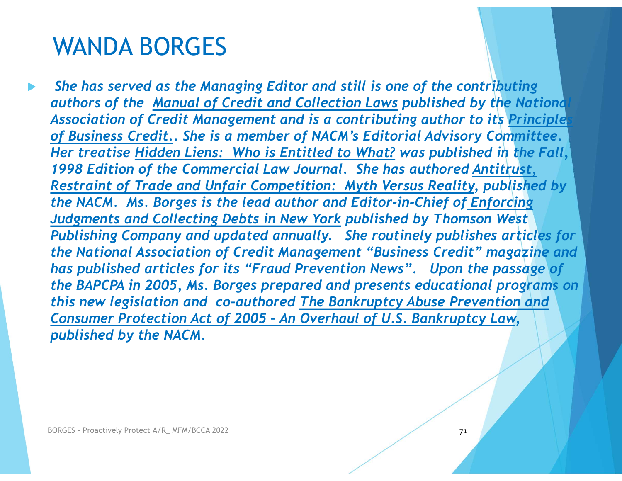She has served as the Managing Editor and still is one of the contributing WANDA BORGES<br>
She has served as the Managing Editor and still is one of the contributing<br>
authors of the <u>Manual of Credit and Collection Laws</u> published by the National<br>
Association of Credit Management and is a contribut Association of Credit Management and is a contributing author to its Principle of Business Credit.. She is a member of NACM's Editorial Advisory Committee. WANDA BORGES<br>
She has served as the Managing Editor and still is one of the contributing<br>
authors of the <u>Manual of Credit and Collection Laws</u> published by the National<br>
Association of Credit Management and is a contribut 1998 Edition of the Commercial Law Journal. She has authored Antitrust, Restraint of Trade and Unfair Competition: Myth Versus Reality, published by WANDA BORGES<br>
She has served as the Managing Editor and still is one of the contributing<br>
authors of the <u>Manual of Credit and Collection Laws</u> published by the National<br>
Association of Credit Management and is a contribut WANDA BORGES<br>
She has served as the Managing Editor and still is one of the contributing<br>
authors of the <u>Manual of Credit and Collection Laws</u> published by the National<br>
Association of Credit Management and is a contribut Publishing Company and updated annually. She routinely publishes articles for the National Association of Credit Management "Business Credit" magazine and has published articles for its "Fraud Prevention News". Upon the passage of the BAPCPA in 2005, Ms. Borges prepared and presents educational programs on this new legislation and co-authored The Bankruptcy Abuse Prevention and Association of Credit Management and is a contributing author to its <u>Principle</u><br>of Business Credit.. She is a member of NACM's Editorial Advisory Committee.<br>Her treatise <u>Hidden Liens: Who is Entitled to What?</u> was publis published by the NACM. **Publishing Company and updated annually.** She routinely published the National Association of Credit Management "Business Credit has published articles for its "Fraud Prevention News". Upon the BAPCPA in 2005, Ms. Borges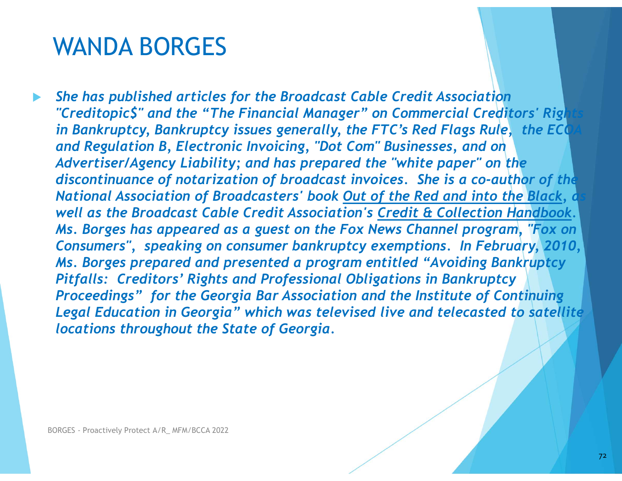She has published articles for the Broadcast Cable Credit Association "Creditopic\$" and the "The Financial Manager" on Commercial Creditors' Rights in Bankruptcy, Bankruptcy issues generally, the FTC's Red Flags Rule, the ECO and Regulation B, Electronic Invoicing, "Dot Com" Businesses, and on Advertiser/Agency Liability; and has prepared the "white paper" on the discontinuance of notarization of broadcast invoices. She is a co-author of the National Association of Broadcasters' book Out of the Red and into the Black, a well as the Broadcast Cable Credit Association's Credit & Collection Handbook. Ms. Borges has appeared as a guest on the Fox News Channel program, "Fox on WANUA BUKGES<br>
She has published articles for the Broadcast Cable Credit Association<br>
"CreditopicS" and the "The Financial Manager" on Commercial Creditors' Rights<br>
in Bankruptcy, Bankruptcy issues generally, the FTC's Red Ms. Borges prepared and presented a program entitled "Avoiding Bankruptcy Pitfalls: Creditors' Rights and Professional Obligations in Bankruptcy Proceedings" for the Georgia Bar Association and the Institute of Continuing Legal Education in Georgia" which was televised live and telecasted to satellite locations throughout the State of Georgia. Ms. Borges has appeared as a guest on the<br>Consumers", speaking on consumer bankru<sub>l</sub><br>Ms. Borges prepared and presented a progr<br>Pitfalls: Creditors' Rights and Professional<br>Proceedings" for the Georgia Bar Associati<br>Legal E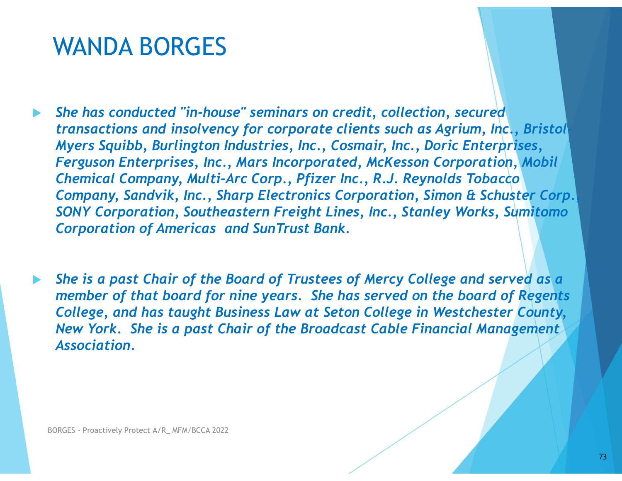## WANDA BORGES

- She has conducted "in-house" seminars on credit, collection, secured transactions and insolvency for corporate clients such as Agrium, Inc., Bristol-Myers Squibb, Burlington Industries, Inc., Cosmair, Inc., Doric Enterprises, Ferguson Enterprises, Inc., Mars Incorporated, McKesson Corporation, Mobil Chemical Company, Multi-Arc Corp., Pfizer Inc., R.J. Reynolds Tobacco Company, Sandvik, Inc., Sharp Electronics Corporation, Simon & Schuster Corp., SONY Corporation, Southeastern Freight Lines, Inc., Stanley Works, Sumitomo Corporation of Americas and SunTrust Bank. She has conducted "in-house" seminars on credit, collection, secured<br>transactions and insolvency for corporate clients such as Agrium, Inc., Bristol<br>Myers Squibb, Burlington Industries, Inc., Cosmari, Inc., Doinc Enterpris
- She is a past Chair of the Board of Trustees of Mercy College and served as a member of that board for nine years. She has served on the board of Regents New York. She is a past Chair of the Broadcast Cable Financial Management Association. Corporation of Americas and Sun Irust Bank<br>She is a past Chair of the Board of Trustees<br>member of that board for nine years. She I<br>College, and has taught Business Law at Sei<br>New York. She is a past Chair of the Broad<br>Asso